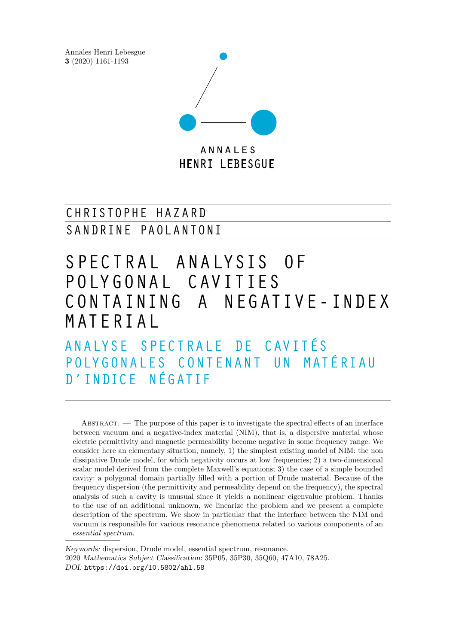Annales Henri Lebesgue **3** (2020) 1161-1193



**HENRI LEBESGUE** 

## CHRISTOPHE HAZARD SANDRINE PAOLANTONI

# S PECT RAL ANALYSIS OF P OLY G O N A L C AV ITIES CONTAINING A NEGATIVE-INDEX M AT E RI A L

A N A L Y S E S P E C T R A L E D E C A V I T É S POLY GONALES CONTENANT UN MATÉRIAU D ' IN DIC E N ÉG ATIF

ABSTRACT. — The purpose of this paper is to investigate the spectral effects of an interface between vacuum and a negative-index material (NIM), that is, a dispersive material whose electric permittivity and magnetic permeability become negative in some frequency range. We consider here an elementary situation, namely, 1) the simplest existing model of NIM: the non dissipative Drude model, for which negativity occurs at low frequencies; 2) a two-dimensional scalar model derived from the complete Maxwell's equations; 3) the case of a simple bounded cavity: a polygonal domain partially filled with a portion of Drude material. Because of the frequency dispersion (the permittivity and permeability depend on the frequency), the spectral analysis of such a cavity is unusual since it yields a nonlinear eigenvalue problem. Thanks to the use of an additional unknown, we linearize the problem and we present a complete description of the spectrum. We show in particular that the interface between the NIM and vacuum is responsible for various resonance phenomena related to various components of an *essential spectrum*.

Keywords: dispersion, Drude model, essential spectrum, resonance. 2020 Mathematics Subject Classification: 35P05, 35P30, 35Q60, 47A10, 78A25. DOI: <https://doi.org/10.5802/ahl.58>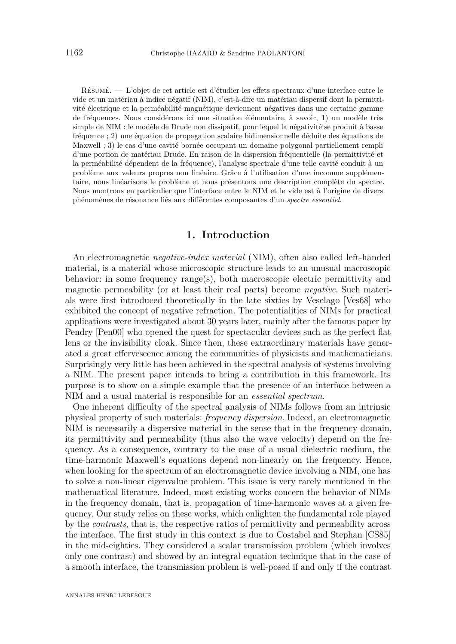<span id="page-1-0"></span>Résumé. — L'objet de cet article est d'étudier les effets spectraux d'une interface entre le vide et un matériau à indice négatif (NIM), c'est-à-dire un matériau dispersif dont la permittivité électrique et la perméabilité magnétique deviennent négatives dans une certaine gamme de fréquences. Nous considérons ici une situation élémentaire, à savoir, 1) un modèle très simple de NIM : le modèle de Drude non dissipatif, pour lequel la négativité se produit à basse fréquence ; 2) une équation de propagation scalaire bidimensionnelle déduite des équations de Maxwell ; 3) le cas d'une cavité bornée occupant un domaine polygonal partiellement rempli d'une portion de matériau Drude. En raison de la dispersion fréquentielle (la permittivité et la perméabilité dépendent de la fréquence), l'analyse spectrale d'une telle cavité conduit à un problème aux valeurs propres non linéaire. Grâce à l'utilisation d'une inconnue supplémentaire, nous linéarisons le problème et nous présentons une description complète du spectre. Nous montrons en particulier que l'interface entre le NIM et le vide est à l'origine de divers phénomènes de résonance liés aux différentes composantes d'un *spectre essentiel*.

## **1. Introduction**

An electromagnetic *negative-index material* (NIM), often also called left-handed material, is a material whose microscopic structure leads to an unusual macroscopic behavior: in some frequency range(s), both macroscopic electric permittivity and magnetic permeability (or at least their real parts) become *negative*. Such materials were first introduced theoretically in the late sixties by Veselago [\[Ves68\]](#page-31-0) who exhibited the concept of negative refraction. The potentialities of NIMs for practical applications were investigated about 30 years later, mainly after the famous paper by Pendry [\[Pen00\]](#page-31-1) who opened the quest for spectacular devices such as the perfect flat lens or the invisibility cloak. Since then, these extraordinary materials have generated a great effervescence among the communities of physicists and mathematicians. Surprisingly very little has been achieved in the spectral analysis of systems involving a NIM. The present paper intends to bring a contribution in this framework. Its purpose is to show on a simple example that the presence of an interface between a NIM and a usual material is responsible for an *essential spectrum*.

One inherent difficulty of the spectral analysis of NIMs follows from an intrinsic physical property of such materials: *frequency dispersion*. Indeed, an electromagnetic NIM is necessarily a dispersive material in the sense that in the frequency domain, its permittivity and permeability (thus also the wave velocity) depend on the frequency. As a consequence, contrary to the case of a usual dielectric medium, the time-harmonic Maxwell's equations depend non-linearly on the frequency. Hence, when looking for the spectrum of an electromagnetic device involving a NIM, one has to solve a non-linear eigenvalue problem. This issue is very rarely mentioned in the mathematical literature. Indeed, most existing works concern the behavior of NIMs in the frequency domain, that is, propagation of time-harmonic waves at a given frequency. Our study relies on these works, which enlighten the fundamental role played by the *contrasts*, that is, the respective ratios of permittivity and permeability across the interface. The first study in this context is due to Costabel and Stephan [\[CS85\]](#page-30-0) in the mid-eighties. They considered a scalar transmission problem (which involves only one contrast) and showed by an integral equation technique that in the case of a smooth interface, the transmission problem is well-posed if and only if the contrast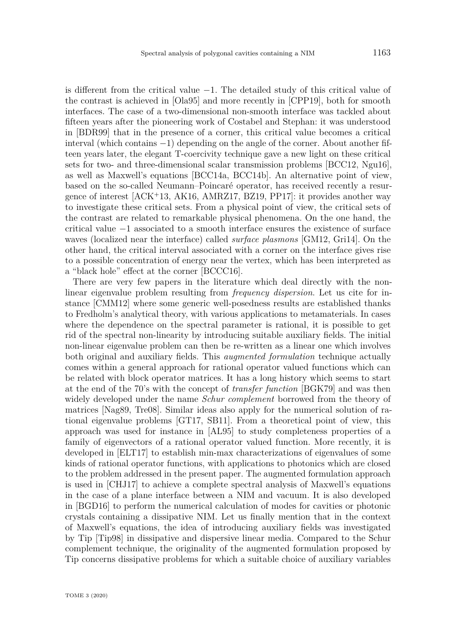<span id="page-2-0"></span>is different from the critical value −1*.* The detailed study of this critical value of the contrast is achieved in [\[Ola95\]](#page-31-2) and more recently in [\[CPP19\]](#page-30-1), both for smooth interfaces. The case of a two-dimensional non-smooth interface was tackled about fifteen years after the pioneering work of Costabel and Stephan: it was understood in [\[BDR99\]](#page-30-2) that in the presence of a corner, this critical value becomes a critical interval (which contains −1) depending on the angle of the corner. About another fifteen years later, the elegant T-coercivity technique gave a new light on these critical sets for two- and three-dimensional scalar transmission problems [\[BCC12,](#page-30-3) [Ngu16\]](#page-31-3), as well as Maxwell's equations [\[BCC14a,](#page-30-4) [BCC14b\]](#page-30-5). An alternative point of view, based on the so-called Neumann–Poincaré operator, has received recently a resurgence of interest [\[ACK](#page-29-0)<sup>+</sup>13, [AK16,](#page-29-1) [AMRZ17,](#page-29-2) [BZ19,](#page-30-6) [PP17\]](#page-31-4): it provides another way to investigate these critical sets. From a physical point of view, the critical sets of the contrast are related to remarkable physical phenomena. On the one hand, the critical value −1 associated to a smooth interface ensures the existence of surface waves (localized near the interface) called *surface plasmons* [\[GM12,](#page-30-7) [Gri14\]](#page-30-8). On the other hand, the critical interval associated with a corner on the interface gives rise to a possible concentration of energy near the vertex, which has been interpreted as a "black hole" effect at the corner [\[BCCC16\]](#page-30-9).

There are very few papers in the literature which deal directly with the nonlinear eigenvalue problem resulting from *frequency dispersion*. Let us cite for instance [\[CMM12\]](#page-30-10) where some generic well-posedness results are established thanks to Fredholm's analytical theory, with various applications to metamaterials. In cases where the dependence on the spectral parameter is rational, it is possible to get rid of the spectral non-linearity by introducing suitable auxiliary fields. The initial non-linear eigenvalue problem can then be re-written as a linear one which involves both original and auxiliary fields. This *augmented formulation* technique actually comes within a general approach for rational operator valued functions which can be related with block operator matrices. It has a long history which seems to start at the end of the 70's with the concept of *transfer function* [\[BGK79\]](#page-30-11) and was then widely developed under the name *Schur complement* borrowed from the theory of matrices [\[Nag89,](#page-31-5) [Tre08\]](#page-31-6). Similar ideas also apply for the numerical solution of rational eigenvalue problems [\[GT17,](#page-31-7) [SB11\]](#page-31-8). From a theoretical point of view, this approach was used for instance in [\[AL95\]](#page-29-3) to study completeness properties of a family of eigenvectors of a rational operator valued function. More recently, it is developed in [\[ELT17\]](#page-30-12) to establish min-max characterizations of eigenvalues of some kinds of rational operator functions, with applications to photonics which are closed to the problem addressed in the present paper. The augmented formulation approach is used in [\[CHJ17\]](#page-30-13) to achieve a complete spectral analysis of Maxwell's equations in the case of a plane interface between a NIM and vacuum. It is also developed in [\[BGD16\]](#page-30-14) to perform the numerical calculation of modes for cavities or photonic crystals containing a dissipative NIM. Let us finally mention that in the context of Maxwell's equations, the idea of introducing auxiliary fields was investigated by Tip [\[Tip98\]](#page-31-9) in dissipative and dispersive linear media. Compared to the Schur complement technique, the originality of the augmented formulation proposed by Tip concerns dissipative problems for which a suitable choice of auxiliary variables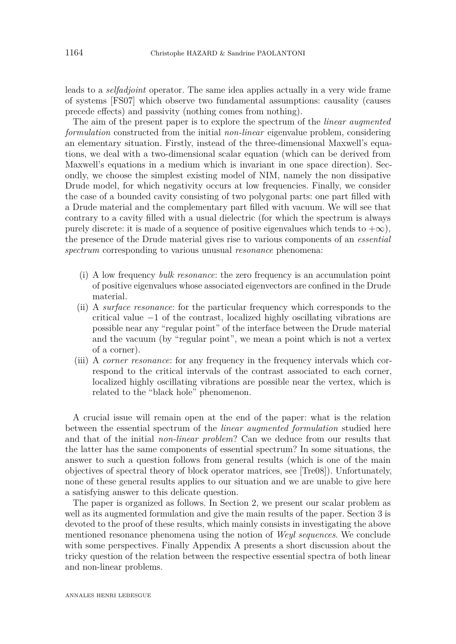<span id="page-3-0"></span>leads to a *selfadjoint* operator. The same idea applies actually in a very wide frame of systems [\[FS07\]](#page-30-15) which observe two fundamental assumptions: causality (causes precede effects) and passivity (nothing comes from nothing).

The aim of the present paper is to explore the spectrum of the *linear augmented formulation* constructed from the initial *non-linear* eigenvalue problem, considering an elementary situation. Firstly, instead of the three-dimensional Maxwell's equations, we deal with a two-dimensional scalar equation (which can be derived from Maxwell's equations in a medium which is invariant in one space direction). Secondly, we choose the simplest existing model of NIM, namely the non dissipative Drude model, for which negativity occurs at low frequencies. Finally, we consider the case of a bounded cavity consisting of two polygonal parts: one part filled with a Drude material and the complementary part filled with vacuum. We will see that contrary to a cavity filled with a usual dielectric (for which the spectrum is always purely discrete: it is made of a sequence of positive eigenvalues which tends to  $+\infty$ *)*, the presence of the Drude material gives rise to various components of an *essential spectrum* corresponding to various unusual *resonance* phenomena:

- (i) A low frequency *bulk resonance*: the zero frequency is an accumulation point of positive eigenvalues whose associated eigenvectors are confined in the Drude material.
- (ii) A *surface resonance*: for the particular frequency which corresponds to the critical value −1 of the contrast, localized highly oscillating vibrations are possible near any "regular point" of the interface between the Drude material and the vacuum (by "regular point", we mean a point which is not a vertex of a corner).
- (iii) A *corner resonance*: for any frequency in the frequency intervals which correspond to the critical intervals of the contrast associated to each corner, localized highly oscillating vibrations are possible near the vertex, which is related to the "black hole" phenomenon.

A crucial issue will remain open at the end of the paper: what is the relation between the essential spectrum of the *linear augmented formulation* studied here and that of the initial *non-linear problem*? Can we deduce from our results that the latter has the same components of essential spectrum? In some situations, the answer to such a question follows from general results (which is one of the main objectives of spectral theory of block operator matrices, see [\[Tre08\]](#page-31-6)). Unfortunately, none of these general results applies to our situation and we are unable to give here a satisfying answer to this delicate question.

The paper is organized as follows. In Section [2,](#page-4-0) we present our scalar problem as well as its augmented formulation and give the main results of the paper. Section [3](#page-11-0) is devoted to the proof of these results, which mainly consists in investigating the above mentioned resonance phenomena using the notion of *Weyl sequences*. We conclude with some perspectives. Finally Appendix [A](#page-26-0) presents a short discussion about the tricky question of the relation between the respective essential spectra of both linear and non-linear problems.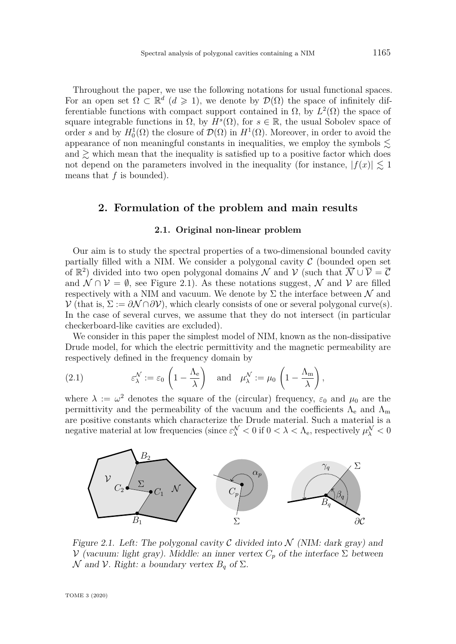Throughout the paper, we use the following notations for usual functional spaces. For an open set  $\Omega \subset \mathbb{R}^d$   $(d \geq 1)$ , we denote by  $\mathcal{D}(\Omega)$  the space of infinitely differentiable functions with compact support contained in  $\Omega$ , by  $L^2(\Omega)$  the space of square integrable functions in  $\Omega$ , by  $H^s(\Omega)$ , for  $s \in \mathbb{R}$ , the usual Sobolev space of order *s* and by  $H_0^1(\Omega)$  the closure of  $\mathcal{D}(\Omega)$  in  $H^1(\Omega)$ . Moreover, in order to avoid the appearance of non meaningful constants in inequalities, we employ the symbols  $\lesssim$ and  $\geq$  which mean that the inequality is satisfied up to a positive factor which does not depend on the parameters involved in the inequality (for instance,  $|f(x)| \leq 1$ means that *f* is bounded).

## <span id="page-4-0"></span>**2. Formulation of the problem and main results**

## **2.1. Original non-linear problem**

<span id="page-4-3"></span>Our aim is to study the spectral properties of a two-dimensional bounded cavity partially filled with a NIM. We consider a polygonal cavity  $\mathcal C$  (bounded open set of  $\mathbb{R}^2$ ) divided into two open polygonal domains N and V (such that  $\overline{\mathcal{N}} \cup \overline{\mathcal{V}} = \overline{\mathcal{C}}$ and  $\mathcal{N} \cap \mathcal{V} = \emptyset$ , see Figure [2.1\)](#page-4-1). As these notations suggest,  $\mathcal{N}$  and  $\mathcal{V}$  are filled respectively with a NIM and vacuum. We denote by  $\Sigma$  the interface between  $\mathcal N$  and  $\mathcal{V}$  (that is,  $\Sigma := \partial \mathcal{N} \cap \partial \mathcal{V}$ ), which clearly consists of one or several polygonal curve(s). In the case of several curves, we assume that they do not intersect (in particular checkerboard-like cavities are excluded).

We consider in this paper the simplest model of NIM, known as the non-dissipative Drude model, for which the electric permittivity and the magnetic permeability are respectively defined in the frequency domain by

<span id="page-4-2"></span>(2.1) 
$$
\varepsilon_{\lambda}^{\mathcal{N}} := \varepsilon_0 \left( 1 - \frac{\Lambda_e}{\lambda} \right) \quad \text{and} \quad \mu_{\lambda}^{\mathcal{N}} := \mu_0 \left( 1 - \frac{\Lambda_m}{\lambda} \right),
$$

where  $\lambda := \omega^2$  denotes the square of the (circular) frequency,  $\varepsilon_0$  and  $\mu_0$  are the permittivity and the permeability of the vacuum and the coefficients  $\Lambda_{\rm e}$  and  $\Lambda_{\rm m}$ are positive constants which characterize the Drude material. Such a material is a negative material at low frequencies (since  $\varepsilon_{\lambda}^{\mathcal{N}} < 0$  if  $0 < \lambda < \Lambda_{e}$ , respectively  $\mu_{\lambda}^{\mathcal{N}} < 0$ 



<span id="page-4-1"></span>Figure 2.1. Left: The polygonal cavity  $\mathcal C$  divided into  $\mathcal N$  (NIM: dark gray) and V (vacuum: light gray). Middle: an inner vertex  $C_p$  of the interface  $\Sigma$  between  $\mathcal N$  and  $\mathcal V$ *.* Right: a boundary vertex  $B_q$  of  $\Sigma$ *.*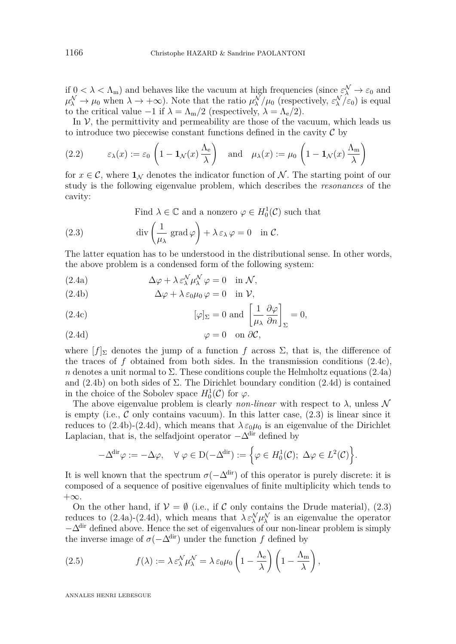if  $0 < \lambda < \Lambda_m$ ) and behaves like the vacuum at high frequencies (since  $\varepsilon_{\lambda}^{\mathcal{N}} \to \varepsilon_0$  and  $\mu_{\lambda}^{\mathcal{N}} \to \mu_0$  when  $\lambda \to +\infty$ ). Note that the ratio  $\mu_{\lambda}^{\mathcal{N}}/\mu_0$  (respectively,  $\varepsilon_{\lambda}^{\mathcal{N}}/\varepsilon_0$ ) is equal to the critical value  $-1$  if  $\lambda = \Lambda_{\rm m}/2$  (respectively,  $\lambda = \Lambda_{\rm e}/2$ ).

In  $V$ , the permittivity and permeability are those of the vacuum, which leads us to introduce two piecewise constant functions defined in the cavity  $\mathcal C$  by

<span id="page-5-6"></span>(2.2) 
$$
\varepsilon_{\lambda}(x) := \varepsilon_0 \left( 1 - \mathbf{1}_{\mathcal{N}}(x) \frac{\Lambda_e}{\lambda} \right)
$$
 and  $\mu_{\lambda}(x) := \mu_0 \left( 1 - \mathbf{1}_{\mathcal{N}}(x) \frac{\Lambda_m}{\lambda} \right)$ 

for  $x \in \mathcal{C}$ , where  $\mathbf{1}_{\mathcal{N}}$  denotes the indicator function of  $\mathcal{N}$ . The starting point of our study is the following eigenvalue problem, which describes the *resonances* of the cavity:

Find 
$$
\lambda \in \mathbb{C}
$$
 and a nonzero  $\varphi \in H_0^1(\mathcal{C})$  such that

<span id="page-5-4"></span>(2.3) 
$$
\operatorname{div}\left(\frac{1}{\mu_{\lambda}}\operatorname{grad}\varphi\right) + \lambda \varepsilon_{\lambda}\varphi = 0 \quad \text{in } \mathcal{C}.
$$

The latter equation has to be understood in the distributional sense. In other words, the above problem is a condensed form of the following system:

<span id="page-5-1"></span>(2.4a) 
$$
\Delta \varphi + \lambda \varepsilon_{\lambda}^{\mathcal{N}} \mu_{\lambda}^{\mathcal{N}} \varphi = 0 \quad \text{in } \mathcal{N},
$$

<span id="page-5-2"></span>(2.4b) 
$$
\Delta \varphi + \lambda \varepsilon_0 \mu_0 \varphi = 0 \quad \text{in } \mathcal{V},
$$

<span id="page-5-0"></span>(2.4c) 
$$
[\varphi]_{\Sigma} = 0 \text{ and } \left[\frac{1}{\mu_{\lambda}} \frac{\partial \varphi}{\partial n}\right]_{\Sigma} = 0,
$$

<span id="page-5-3"></span>(2.4d) 
$$
\varphi = 0 \quad \text{on } \partial C,
$$

where  $[f]_{\Sigma}$  denotes the jump of a function f across  $\Sigma$ , that is, the difference of the traces of  $f$  obtained from both sides. In the transmission conditions  $(2.4c)$ , *n* denotes a unit normal to  $\Sigma$ . These conditions couple the Helmholtz equations [\(2.4a\)](#page-5-1) and [\(2.4b\)](#page-5-2) on both sides of Σ*.* The Dirichlet boundary condition [\(2.4d\)](#page-5-3) is contained in the choice of the Sobolev space  $H_0^1(\mathcal{C})$  for  $\varphi$ .

The above eigenvalue problem is clearly *non-linear* with respect to  $\lambda$ , unless  $\mathcal N$ is empty (i.e.,  $\mathcal C$  only contains vacuum). In this latter case,  $(2.3)$  is linear since it reduces to [\(2.4b\)](#page-5-2)-[\(2.4d\)](#page-5-3), which means that  $\lambda \varepsilon_0 \mu_0$  is an eigenvalue of the Dirichlet Laplacian, that is, the selfadjoint operator  $-\Delta^{\text{dir}}$  defined by

$$
-\Delta^{\text{dir}}\varphi := -\Delta\varphi, \quad \forall \varphi \in D(-\Delta^{\text{dir}}) := \left\{\varphi \in H_0^1(\mathcal{C}); \ \Delta\varphi \in L^2(\mathcal{C})\right\}.
$$

It is well known that the spectrum  $\sigma(-\Delta^{\text{dir}})$  of this operator is purely discrete: it is composed of a sequence of positive eigenvalues of finite multiplicity which tends to +∞*.*

On the other hand, if  $V = \emptyset$  (i.e., if C only contains the Drude material), [\(2.3\)](#page-5-4) reduces to [\(2.4a\)](#page-5-1)-[\(2.4d\)](#page-5-3), which means that  $\lambda \varepsilon_{\lambda}^{\mathcal{N}} \mu_{\lambda}^{\mathcal{N}}$  is an eigenvalue the operator <sup>−</sup>∆dir defined above. Hence the set of eigenvalues of our non-linear problem is simply the inverse image of  $\sigma(-\Delta^{\text{dir}})$  under the function *f* defined by

<span id="page-5-5"></span>(2.5) 
$$
f(\lambda) := \lambda \varepsilon_{\lambda}^{\mathcal{N}} \mu_{\lambda}^{\mathcal{N}} = \lambda \varepsilon_0 \mu_0 \left( 1 - \frac{\Lambda_e}{\lambda} \right) \left( 1 - \frac{\Lambda_m}{\lambda} \right),
$$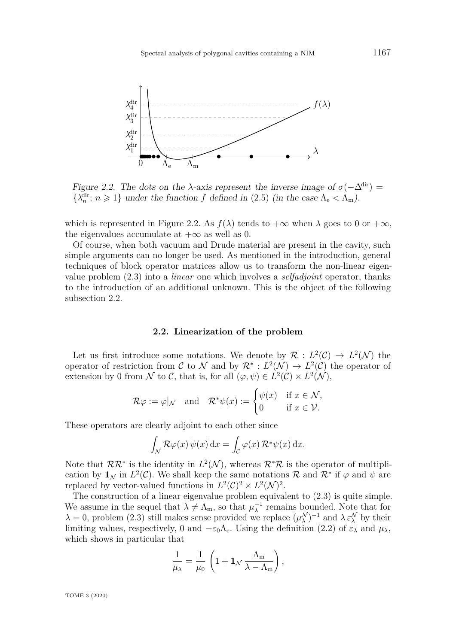

<span id="page-6-0"></span>Figure 2.2. The dots on the *λ*-axis represent the inverse image of  $\sigma(-\Delta^{\text{dir}})$  =  $\{\lambda_n^{\text{dir}}; n \geq 1\}$  under the function *f* defined in [\(2.5\)](#page-5-5) (in the case  $\Lambda_e < \Lambda_m$ ).

which is represented in Figure [2.2.](#page-6-0) As  $f(\lambda)$  tends to  $+\infty$  when  $\lambda$  goes to 0 or  $+\infty$ , the eigenvalues accumulate at  $+\infty$  as well as 0.

Of course, when both vacuum and Drude material are present in the cavity, such simple arguments can no longer be used. As mentioned in the introduction, general techniques of block operator matrices allow us to transform the non-linear eigenvalue problem [\(2.3\)](#page-5-4) into a *linear* one which involves a *selfadjoint* operator, thanks to the introduction of an additional unknown. This is the object of the following subsection [2.2.](#page-6-1)

## **2.2. Linearization of the problem**

<span id="page-6-1"></span>Let us first introduce some notations. We denote by  $\mathcal{R}: L^2(\mathcal{C}) \to L^2(\mathcal{N})$  the operator of restriction from C to N and by  $\mathcal{R}^* : L^2(\mathcal{N}) \to L^2(\mathcal{C})$  the operator of extension by 0 from  $\mathcal N$  to  $\mathcal C$ , that is, for all  $(\varphi, \psi) \in L^2(\mathcal C) \times L^2(\mathcal N)$ ,

$$
\mathcal{R}\varphi := \varphi|_{\mathcal{N}}
$$
 and  $\mathcal{R}^*\psi(x) := \begin{cases} \psi(x) & \text{if } x \in \mathcal{N}, \\ 0 & \text{if } x \in \mathcal{V}. \end{cases}$ 

These operators are clearly adjoint to each other since

$$
\int_{\mathcal{N}} \mathcal{R}\varphi(x) \,\overline{\psi(x)} \,dx = \int_{\mathcal{C}} \varphi(x) \,\overline{\mathcal{R}^*\psi(x)} \,dx.
$$

Note that  $\mathcal{RR}^*$  is the identity in  $L^2(\mathcal{N})$ , whereas  $\mathcal{R}^*\mathcal{R}$  is the operator of multiplication by  $\mathbf{1}_{\mathcal{N}}$  in  $L^2(\mathcal{C})$ . We shall keep the same notations  $\mathcal{R}$  and  $\mathcal{R}^*$  if  $\varphi$  and  $\psi$  are replaced by vector-valued functions in  $L^2(\mathcal{C})^2 \times L^2(\mathcal{N})^2$ .

The construction of a linear eigenvalue problem equivalent to [\(2.3\)](#page-5-4) is quite simple. We assume in the sequel that  $\lambda \neq \Lambda_m$ , so that  $\mu_{\lambda}^{-1}$  $\lambda$ <sup>1</sup> remains bounded. Note that for  $\lambda = 0$ , problem [\(2.3\)](#page-5-4) still makes sense provided we replace  $(\mu_{\lambda}^{\mathcal{N}})^{-1}$  and  $\lambda \varepsilon_{\lambda}^{\mathcal{N}}$  by their limiting values, respectively, 0 and  $-\varepsilon_0\Lambda_e$ . Using the definition [\(2.2\)](#page-5-6) of  $\varepsilon_\lambda$  and  $\mu_\lambda$ , which shows in particular that

$$
\frac{1}{\mu_\lambda} = \frac{1}{\mu_0}\,\left(1 + \mathbf{1}_{\mathcal{N}}\,\frac{\Lambda_m}{\lambda - \Lambda_m}\right),
$$

TOME 3 (2020)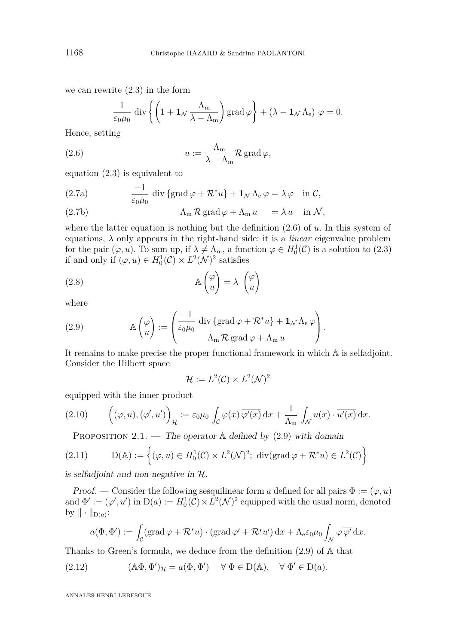we can rewrite [\(2.3\)](#page-5-4) in the form

<span id="page-7-0"></span>
$$
\frac{1}{\varepsilon_0 \mu_0} \operatorname{div} \left\{ \left( 1 + \mathbf{1}_{\mathcal{N}} \frac{\Lambda_m}{\lambda - \Lambda_m} \right) \operatorname{grad} \varphi \right\} + (\lambda - \mathbf{1}_{\mathcal{N}} \Lambda_e) \varphi = 0.
$$

Hence, setting

(2.6) 
$$
u := \frac{\Lambda_{\rm m}}{\lambda - \Lambda_{\rm m}} \mathcal{R} \operatorname{grad} \varphi,
$$

equation [\(2.3\)](#page-5-4) is equivalent to

<span id="page-7-4"></span>(2.7a) 
$$
\frac{-1}{\varepsilon_0 \mu_0} \operatorname{div} \{ \operatorname{grad} \varphi + \mathcal{R}^* u \} + \mathbf{1}_{\mathcal{N}} \Lambda_e \varphi = \lambda \varphi \quad \text{in } \mathcal{C},
$$

<span id="page-7-5"></span>(2.7b) 
$$
\Lambda_{m} \mathcal{R} \operatorname{grad} \varphi + \Lambda_{m} u = \lambda u \quad \text{in } \mathcal{N},
$$

where the latter equation is nothing but the definition [\(2.6\)](#page-7-0) of *u.* In this system of equations,  $\lambda$  only appears in the right-hand side: it is a *linear* eigenvalue problem for the pair  $(\varphi, u)$ . To sum up, if  $\lambda \neq \Lambda_m$ , a function  $\varphi \in H_0^1(\mathcal{C})$  is a solution to [\(2.3\)](#page-5-4) if and only if  $(\varphi, u) \in H_0^1(\mathcal{C}) \times L^2(\mathcal{N})^2$  satisfies

(2.8) 
$$
\mathbb{A} \begin{pmatrix} \varphi \\ u \end{pmatrix} = \lambda \begin{pmatrix} \varphi \\ u \end{pmatrix}
$$

where

<span id="page-7-1"></span>(2.9) 
$$
\mathbb{A}\begin{pmatrix} \varphi \\ u \end{pmatrix} := \begin{pmatrix} \frac{-1}{\varepsilon_0 \mu_0} & \text{div } \{\text{grad } \varphi + \mathcal{R}^* u\} + \mathbf{1}_{\mathcal{N}} \Lambda_e \varphi \\ \Lambda_m \mathcal{R} & \text{grad } \varphi + \Lambda_m u \end{pmatrix}.
$$

It remains to make precise the proper functional framework in which A is selfadjoint. Consider the Hilbert space

<span id="page-7-6"></span>
$$
\mathcal{H} := L^2(\mathcal{C}) \times L^2(\mathcal{N})^2
$$

equipped with the inner product

<span id="page-7-7"></span>(2.10) 
$$
\left( (\varphi, u), (\varphi', u') \right)_{\mathcal{H}} := \varepsilon_0 \mu_0 \int_{\mathcal{C}} \varphi(x) \overline{\varphi'(x)} \, dx + \frac{1}{\Lambda_m} \int_{\mathcal{N}} u(x) \cdot \overline{u'(x)} \, dx.
$$

<span id="page-7-3"></span>PROPOSITION 2.1. — The operator  $\mathbb A$  defined by [\(2.9\)](#page-7-1) with domain

(2.11) 
$$
D(\mathbb{A}) := \left\{ (\varphi, u) \in H_0^1(\mathcal{C}) \times L^2(\mathcal{N})^2; \text{ div}(\text{grad } \varphi + \mathcal{R}^* u) \in L^2(\mathcal{C}) \right\}
$$

is selfadjoint and non-negative in H.

Proof. — Consider the following sesquilinear form *a* defined for all pairs  $\Phi := (\varphi, u)$ and  $\Phi' := (\varphi', u')$  in  $D(a) := H_0^1(\mathcal{C}) \times L^2(\mathcal{N})^2$  equipped with the usual norm, denoted by  $\|\cdot\|_{D(a)}$ :

<span id="page-7-2"></span>
$$
a(\Phi, \Phi') := \int_{\mathcal{C}} (\operatorname{grad} \varphi + \mathcal{R}^* u) \cdot \overline{(\operatorname{grad} \varphi' + \mathcal{R}^* u')} \, dx + \Lambda_{e} \varepsilon_{0} \mu_{0} \int_{\mathcal{N}} \varphi \, \overline{\varphi'} \, dx.
$$

Thanks to Green's formula, we deduce from the definition [\(2.9\)](#page-7-1) of A that

(2.12) 
$$
(\mathbb{A}\Phi,\Phi')_{\mathcal{H}}=a(\Phi,\Phi') \quad \forall \Phi\in\mathcal{D}(\mathbb{A}), \quad \forall \Phi'\in\mathcal{D}(a).
$$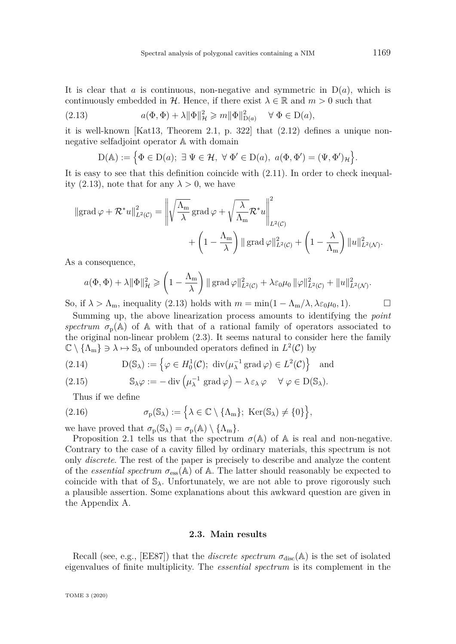<span id="page-8-5"></span>It is clear that *a* is continuous, non-negative and symmetric in  $D(a)$ , which is continuously embedded in H. Hence, if there exist  $\lambda \in \mathbb{R}$  and  $m > 0$  such that

(2.13) 
$$
a(\Phi, \Phi) + \lambda \|\Phi\|_{\mathcal{H}}^2 \geqslant m \|\Phi\|_{\mathcal{D}(a)}^2 \quad \forall \ \Phi \in \mathcal{D}(a),
$$

it is well-known [\[Kat13,](#page-31-10) Theorem 2.1, p. 322] that [\(2.12\)](#page-7-2) defines a unique nonnegative selfadjoint operator A with domain

<span id="page-8-0"></span>
$$
D(\mathbb{A}) := \left\{ \Phi \in D(a); \ \exists \ \Psi \in \mathcal{H}, \ \forall \ \Phi' \in D(a), \ a(\Phi, \Phi') = (\Psi, \Phi')_{\mathcal{H}} \right\}.
$$

It is easy to see that this definition coincide with [\(2.11\)](#page-7-3). In order to check inequal-ity [\(2.13\)](#page-8-0), note that for any  $\lambda > 0$ , we have

$$
\|\operatorname{grad} \varphi + \mathcal{R}^* u\|_{L^2(\mathcal{C})}^2 = \left\| \sqrt{\frac{\Lambda_{\mathrm{m}}}{\lambda}} \operatorname{grad} \varphi + \sqrt{\frac{\lambda}{\Lambda_{\mathrm{m}}}} \mathcal{R}^* u \right\|_{L^2(\mathcal{C})}^2 + \left( 1 - \frac{\lambda}{\Lambda_{\mathrm{m}}} \right) \|\operatorname{grad} \varphi\|_{L^2(\mathcal{C})}^2 + \left( 1 - \frac{\lambda}{\Lambda_{\mathrm{m}}} \right) \|u\|_{L^2(\mathcal{N})}^2.
$$

As a consequence,

$$
a(\Phi, \Phi) + \lambda \|\Phi\|_{\mathcal{H}}^2 \geqslant \left(1 - \frac{\Lambda_m}{\lambda}\right) \|\operatorname{grad} \varphi\|_{L^2(\mathcal{C})}^2 + \lambda \varepsilon_0 \mu_0 \|\varphi\|_{L^2(\mathcal{C})}^2 + \|u\|_{L^2(\mathcal{N})}^2.
$$

So, if  $\lambda > \Lambda_m$ , inequality [\(2.13\)](#page-8-0) holds with  $m = \min(1 - \Lambda_m/\lambda, \lambda \varepsilon_0 \mu_0, 1)$ .

Summing up, the above linearization process amounts to identifying the *point spectrum*  $\sigma_p(A)$  of A with that of a rational family of operators associated to the original non-linear problem [\(2.3\)](#page-5-4). It seems natural to consider here the family  $\mathbb{C} \setminus {\Lambda_m} \ni \lambda \mapsto \mathbb{S}_{\lambda}$  of unbounded operators defined in  $L^2(\mathcal{C})$  by

<span id="page-8-2"></span>(2.14) 
$$
D(\mathbb{S}_{\lambda}) := \left\{ \varphi \in H_0^1(\mathcal{C}); \ \operatorname{div}(\mu_{\lambda}^{-1} \operatorname{grad} \varphi) \in L^2(\mathcal{C}) \right\} \text{ and}
$$

<span id="page-8-3"></span>(2.15) 
$$
\mathbb{S}_{\lambda}\varphi := -\operatorname{div}\left(\mu_{\lambda}^{-1} \operatorname{grad} \varphi\right) - \lambda \varepsilon_{\lambda} \varphi \quad \forall \varphi \in D(\mathbb{S}_{\lambda}).
$$

<span id="page-8-4"></span>Thus if we define

(2.16) 
$$
\sigma_{p}(\mathbb{S}_{\lambda}) := \left\{ \lambda \in \mathbb{C} \setminus \{\Lambda_{m}\}; \ \text{Ker}(\mathbb{S}_{\lambda}) \neq \{0\} \right\},
$$

we have proved that  $\sigma_{\rm p}(\mathbb{S}_{\lambda}) = \sigma_{\rm p}(\mathbb{A}) \setminus {\{\Lambda_{\rm m}\}}$ .

Proposition [2.1](#page-7-3) tells us that the spectrum  $\sigma(A)$  of A is real and non-negative. Contrary to the case of a cavity filled by ordinary materials, this spectrum is not only *discrete*. The rest of the paper is precisely to describe and analyze the content of the *essential spectrum*  $\sigma_{\text{ess}}(\mathbb{A})$  of  $\mathbb{A}$ . The latter should reasonably be expected to coincide with that of  $\mathbb{S}_{\lambda}$ . Unfortunately, we are not able to prove rigorously such a plausible assertion. Some explanations about this awkward question are given in the Appendix [A.](#page-26-0)

#### **2.3. Main results**

<span id="page-8-1"></span>Recall (see, e.g., [\[EE87\]](#page-30-16)) that the *discrete spectrum*  $\sigma_{disc}(A)$  is the set of isolated eigenvalues of finite multiplicity. The *essential spectrum* is its complement in the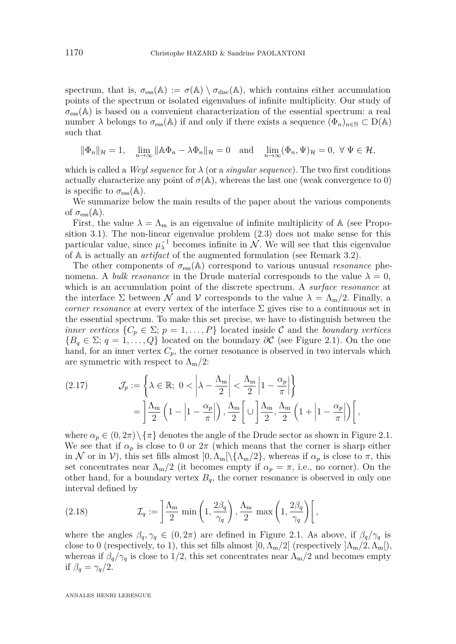spectrum, that is,  $\sigma_{\rm ess}(\mathbb{A}) := \sigma(\mathbb{A}) \setminus \sigma_{\rm disc}(\mathbb{A})$ , which contains either accumulation points of the spectrum or isolated eigenvalues of infinite multiplicity. Our study of  $\sigma_{\rm ess}(\mathbb{A})$  is based on a convenient characterization of the essential spectrum: a real number  $\lambda$  belongs to  $\sigma_{\rm ess}(\mathbb{A})$  if and only if there exists a sequence  $(\Phi_n)_{n\in\mathbb{N}}\subset\mathrm{D}(\mathbb{A})$ such that

$$
\|\Phi_n\|_{\mathcal{H}}=1,\quad \lim_{n\to\infty}\|\mathbb{A}\Phi_n-\lambda\Phi_n\|_{\mathcal{H}}=0\quad\text{and}\quad \lim_{n\to\infty}(\Phi_n,\Psi)_{\mathcal{H}}=0,\,\,\forall\,\,\Psi\in\mathcal{H},
$$

which is called a *Weyl sequence* for *λ* (or a *singular sequence*). The two first conditions actually characterize any point of  $\sigma(A)$ , whereas the last one (weak convergence to 0) is specific to  $\sigma_{\rm ess}(\mathbb{A})$ .

We summarize below the main results of the paper about the various components of  $\sigma_{\rm ess}(\mathbb{A})$ .

First, the value  $\lambda = \Lambda_{\rm m}$  is an eigenvalue of infinite multiplicity of A (see Proposition [3.1\)](#page-11-1). The non-linear eigenvalue problem [\(2.3\)](#page-5-4) does not make sense for this particular value, since  $\mu_{\lambda}^{-1}$  becomes infinite in N. We will see that this eigenvalue of A is actually an *artifact* of the augmented formulation (see Remark [3.2\)](#page-12-0).

The other components of  $\sigma_{\rm ess}(\mathbb{A})$  correspond to various unusual *resonance* phenomena. A *bulk resonance* in the Drude material corresponds to the value  $\lambda = 0$ , which is an accumulation point of the discrete spectrum. A *surface resonance* at the interface  $\Sigma$  between N and V corresponds to the value  $\lambda = \Lambda_{\rm m}/2$ . Finally, a *corner resonance* at every vertex of the interface  $\Sigma$  gives rise to a continuous set in the essential spectrum. To make this set precise, we have to distinguish between the *inner vertices*  $\{C_p \in \Sigma; p = 1, \ldots, P\}$  located inside C and the *boundary vertices*  ${B<sub>q</sub> \in \Sigma$ ; *q* = 1, ..., *Q*} located on the boundary  $\partial C$  (see Figure [2.1\)](#page-4-1). On the one hand, for an inner vertex  $C_p$ , the corner resonance is observed in two intervals which are symmetric with respect to  $\Lambda_{\rm m}/2$ :

<span id="page-9-0"></span>(2.17) 
$$
\mathcal{J}_p := \left\{ \lambda \in \mathbb{R}; \ 0 < \left| \lambda - \frac{\Lambda_m}{2} \right| < \frac{\Lambda_m}{2} \left| 1 - \frac{\alpha_p}{\pi} \right| \right\} = \left| \frac{\Lambda_m}{2} \left( 1 - \left| 1 - \frac{\alpha_p}{\pi} \right| \right), \frac{\Lambda_m}{2} \left[ \cup \left| \frac{\Lambda_m}{2}, \frac{\Lambda_m}{2} \left( 1 + \left| 1 - \frac{\alpha_p}{\pi} \right| \right) \right|, \right.
$$

where  $\alpha_p \in (0, 2\pi) \setminus {\pi}$  denotes the angle of the Drude sector as shown in Figure [2.1.](#page-4-1) We see that if  $\alpha_p$  is close to 0 or  $2\pi$  (which means that the corner is sharp either in N or in V), this set fills almost  $]0, \Lambda_m[\{\Lambda_m/2\}]\$ , whereas if  $\alpha_p$  is close to  $\pi$ , this set concentrates near  $\Lambda_{m}/2$  (it becomes empty if  $\alpha_{p} = \pi$ , i.e., no corner). On the other hand, for a boundary vertex  $B_q$ , the corner resonance is observed in only one interval defined by

<span id="page-9-1"></span>(2.18) 
$$
\mathcal{I}_q := \left[ \frac{\Lambda_m}{2} \min\left(1, \frac{2\beta_q}{\gamma_q}\right), \frac{\Lambda_m}{2} \max\left(1, \frac{2\beta_q}{\gamma_q}\right) \right],
$$

where the angles  $\beta_q, \gamma_q \in (0, 2\pi)$  are defined in Figure [2.1.](#page-4-1) As above, if  $\beta_q/\gamma_q$  is close to 0 (respectively, to 1), this set fills almost  $[0, \Lambda_{m}/2]$  (respectively  $[\Lambda_{m}/2, \Lambda_{m}])$ , whereas if  $\beta_q/\gamma_q$  is close to 1/2, this set concentrates near  $\Lambda_m/2$  and becomes empty if  $\beta_q = \gamma_q/2$ .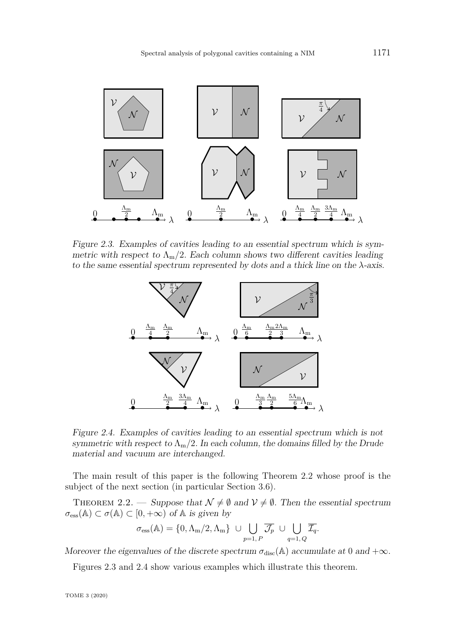

Figure 2.3. Examples of cavities leading to an essential spectrum which is symmetric with respect to  $\Lambda_{\rm m}/2$ . Each column shows two different cavities leading to the same essential spectrum represented by dots and a thick line on the *λ*-axis.

<span id="page-10-1"></span>

<span id="page-10-2"></span>Figure 2.4. Examples of cavities leading to an essential spectrum which is not symmetric with respect to  $\Lambda_{\rm m}/2$ . In each column, the domains filled by the Drude material and vacuum are interchanged.

The main result of this paper is the following Theorem [2.2](#page-10-0) whose proof is the subject of the next section (in particular Section [3.6\)](#page-24-0).

<span id="page-10-0"></span>THEOREM 2.2. — Suppose that  $\mathcal{N} \neq \emptyset$  and  $\mathcal{V} \neq \emptyset$ . Then the essential spectrum  $\sigma_{\text{ess}}(\mathbb{A}) \subset \sigma(\mathbb{A}) \subset [0, +\infty)$  of  $\mathbb{A}$  is given by

$$
\sigma_{\rm ess}(\mathbb{A})=\{0,\Lambda_{\rm m}/2,\Lambda_{\rm m}\}\ \cup \bigcup_{p=1,\,P}\overline{\mathcal{J}_p}\ \cup \bigcup_{q=1,\,Q}\overline{\mathcal{I}_q}.
$$

Moreover the eigenvalues of the discrete spectrum  $\sigma_{disc}(\mathbb{A})$  accumulate at 0 and  $+\infty$ *.* 

Figures [2.3](#page-10-1) and [2.4](#page-10-2) show various examples which illustrate this theorem.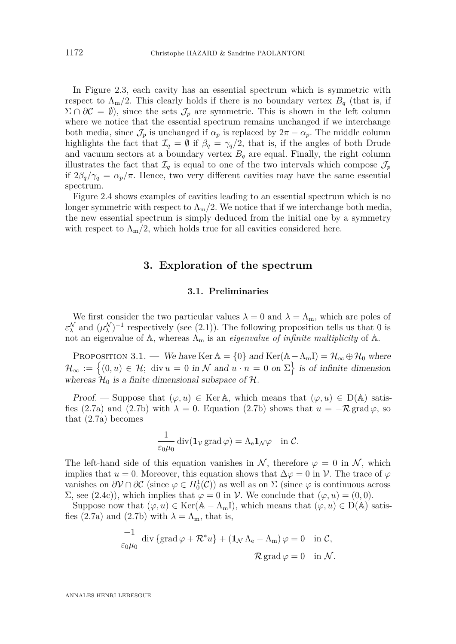In Figure [2.3,](#page-10-1) each cavity has an essential spectrum which is symmetric with respect to  $\Lambda_{\rm m}/2$ . This clearly holds if there is no boundary vertex  $B_q$  (that is, if  $\Sigma \cap \partial \mathcal{C} = \emptyset$ , since the sets  $\mathcal{J}_p$  are symmetric. This is shown in the left column where we notice that the essential spectrum remains unchanged if we interchange both media, since  $\mathcal{J}_p$  is unchanged if  $\alpha_p$  is replaced by  $2\pi - \alpha_p$ . The middle column highlights the fact that  $\mathcal{I}_q = \emptyset$  if  $\beta_q = \gamma_q/2$ , that is, if the angles of both Drude and vacuum sectors at a boundary vertex  $B_q$  are equal. Finally, the right column illustrates the fact that  $\mathcal{I}_q$  is equal to one of the two intervals which compose  $\mathcal{J}_p$ if  $2\beta_q/\gamma_q = \alpha_p/\pi$ . Hence, two very different cavities may have the same essential spectrum.

Figure [2.4](#page-10-2) shows examples of cavities leading to an essential spectrum which is no longer symmetric with respect to  $\Lambda_{m}/2$ . We notice that if we interchange both media, the new essential spectrum is simply deduced from the initial one by a symmetry with respect to  $\Lambda_{\rm m}/2$ , which holds true for all cavities considered here.

## **3. Exploration of the spectrum**

#### **3.1. Preliminaries**

<span id="page-11-0"></span>We first consider the two particular values  $\lambda = 0$  and  $\lambda = \Lambda_m$ , which are poles of  $\varepsilon_{\lambda}^{\mathcal{N}}$  and  $(\mu_{\lambda}^{\mathcal{N}})^{-1}$  respectively (see [\(2.1\)](#page-4-2)). The following proposition tells us that 0 is not an eigenvalue of  $A$ , whereas  $\Lambda_m$  is an *eigenvalue of infinite multiplicity* of  $A$ .

<span id="page-11-1"></span>PROPOSITION 3.1. — We have Ker  $\mathbb{A} = \{0\}$  and  $\text{Ker}(\mathbb{A} - \Lambda_m I) = \mathcal{H}_{\infty} \oplus \mathcal{H}_0$  where  $\mathcal{H}_{\infty} := \{(0, u) \in \mathcal{H}; \text{ div } u = 0 \text{ in } \mathcal{N} \text{ and } u \cdot n = 0 \text{ on } \Sigma\} \text{ is of infinite dimension}$ whereas  $\mathcal{H}_0$  is a finite dimensional subspace of  $\mathcal{H}$ .

Proof. — Suppose that  $(\varphi, u) \in \text{Ker} \mathbb{A}$ , which means that  $(\varphi, u) \in D(\mathbb{A})$  satis-fies [\(2.7a\)](#page-7-4) and [\(2.7b\)](#page-7-5) with  $\lambda = 0$ . Equation (2.7b) shows that  $u = -\mathcal{R}$  grad  $\varphi$ , so that [\(2.7a\)](#page-7-4) becomes

$$
\frac{1}{\varepsilon_0\mu_0}\operatorname{div}(\mathbf{1}_{\mathcal{V}}\operatorname{grad}\varphi)=\Lambda_{\rm e}\mathbf{1}_{\mathcal{N}}\varphi\quad\text{in }\mathcal{C}.
$$

The left-hand side of this equation vanishes in N, therefore  $\varphi = 0$  in N, which implies that  $u = 0$ . Moreover, this equation shows that  $\Delta \varphi = 0$  in  $\mathcal{V}$ . The trace of  $\varphi$ vanishes on  $\partial V \cap \partial C$  (since  $\varphi \in H_0^1(\mathcal{C})$ ) as well as on  $\Sigma$  (since  $\varphi$  is continuous across  $Σ,$  see [\(2.4c\)](#page-5-0)), which implies that  $φ = 0$  in  $γ$ . We conclude that  $(φ, u) = (0, 0)$ .

Suppose now that  $(\varphi, u) \in \text{Ker}(\mathbb{A} - \Lambda_m I)$ , which means that  $(\varphi, u) \in D(\mathbb{A})$  satis-fies [\(2.7a\)](#page-7-4) and [\(2.7b\)](#page-7-5) with  $\lambda = \Lambda_{m}$ , that is,

$$
\frac{-1}{\varepsilon_0 \mu_0} \operatorname{div} \{ \operatorname{grad} \varphi + \mathcal{R}^* u \} + (\mathbf{1}_{\mathcal{N}} \Lambda_e - \Lambda_m) \varphi = 0 \quad \text{in } \mathcal{C},
$$
  

$$
\mathcal{R} \operatorname{grad} \varphi = 0 \quad \text{in } \mathcal{N}.
$$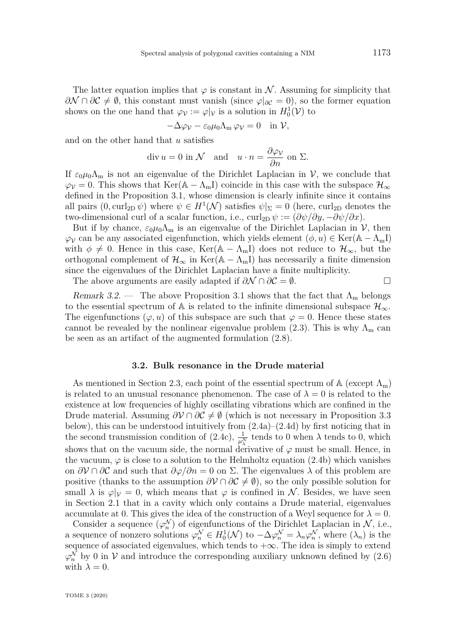The latter equation implies that  $\varphi$  is constant in N. Assuming for simplicity that  $\partial N \cap \partial C \neq \emptyset$ , this constant must vanish (since  $\varphi|_{\partial C} = 0$ ), so the former equation shows on the one hand that  $\varphi_{\mathcal{V}} := \varphi|_{\mathcal{V}}$  is a solution in  $H_0^1(\mathcal{V})$  to

$$
-\Delta \varphi_{\mathcal{V}} - \varepsilon_0 \mu_0 \Lambda_m \varphi_{\mathcal{V}} = 0 \quad \text{in } \mathcal{V},
$$

and on the other hand that *u* satisfies

$$
\operatorname{div} u = 0 \text{ in } \mathcal{N} \quad \text{and} \quad u \cdot n = \frac{\partial \varphi_{\mathcal{V}}}{\partial n} \text{ on } \Sigma.
$$

If  $\varepsilon_0\mu_0\Lambda_\text{m}$  is not an eigenvalue of the Dirichlet Laplacian in V, we conclude that  $\varphi_{\mathcal{V}}=0$ . This shows that Ker( $\mathbb{A}-\Lambda_{\text{m}}$ I) coincide in this case with the subspace  $\mathcal{H}_{\infty}$ defined in the Proposition [3.1,](#page-11-1) whose dimension is clearly infinite since it contains all pairs  $(0, \text{curl}_{2D} \psi)$  where  $\psi \in H^1(\mathcal{N})$  satisfies  $\psi|_{\Sigma} = 0$  (here, curl<sub>2D</sub> denotes the two-dimensional curl of a scalar function, i.e.,  $\text{curl}_{2D} \psi := (\partial \psi / \partial y, -\partial \psi / \partial x)$ .

But if by chance,  $\varepsilon_0\mu_0\Lambda_m$  is an eigenvalue of the Dirichlet Laplacian in V, then  $\varphi_V$  can be any associated eigenfunction, which yields element  $(\phi, u) \in \text{Ker}(\mathbb{A} - \Lambda_m I)$ with  $\phi \neq 0$ . Hence in this case, Ker( $\mathbb{A} - \Lambda_{m}$ I) does not reduce to  $\mathcal{H}_{\infty}$ , but the orthogonal complement of  $\mathcal{H}_{\infty}$  in Ker(A –  $\Lambda_{m}$ I) has necessarily a finite dimension since the eigenvalues of the Dirichlet Laplacian have a finite multiplicity.

The above arguments are easily adapted if  $\partial \mathcal{N} \cap \partial \mathcal{C} = \emptyset$ .

<span id="page-12-0"></span>Remark 3.2. — The above Proposition [3.1](#page-11-1) shows that the fact that  $\Lambda_{\rm m}$  belongs to the essential spectrum of A is related to the infinite dimensional subspace  $\mathcal{H}_{\infty}$ . The eigenfunctions  $(\varphi, u)$  of this subspace are such that  $\varphi = 0$ . Hence these states cannot be revealed by the nonlinear eigenvalue problem [\(2.3\)](#page-5-4). This is why  $\Lambda_{\rm m}$  can be seen as an artifact of the augmented formulation [\(2.8\)](#page-7-6).

#### **3.2. Bulk resonance in the Drude material**

<span id="page-12-1"></span>As mentioned in Section [2.3,](#page-8-1) each point of the essential spectrum of  $\mathbb{A}$  (except  $\Lambda_{\rm m}$ ) is related to an unusual resonance phenomenon. The case of  $\lambda = 0$  is related to the existence at low frequencies of highly oscillating vibrations which are confined in the Drude material. Assuming  $\partial V \cap \partial C \neq \emptyset$  (which is not necessary in Proposition [3.3](#page-13-0) below), this can be understood intuitively from [\(2.4a\)](#page-5-1)–[\(2.4d\)](#page-5-3) by first noticing that in the second transmission condition of [\(2.4c\)](#page-5-0),  $\frac{1}{\mu_{\lambda}^{N}}$  tends to 0 when  $\lambda$  tends to 0, which shows that on the vacuum side, the normal derivative of  $\varphi$  must be small. Hence, in the vacuum,  $\varphi$  is close to a solution to the Helmholtz equation [\(2.4b\)](#page-5-2) which vanishes on  $\partial V \cap \partial C$  and such that  $\partial \varphi / \partial n = 0$  on  $\Sigma$ . The eigenvalues  $\lambda$  of this problem are positive (thanks to the assumption  $\partial V \cap \partial C \neq \emptyset$ ), so the only possible solution for small  $\lambda$  is  $\varphi|_V = 0$ , which means that  $\varphi$  is confined in N. Besides, we have seen in Section [2.1](#page-4-3) that in a cavity which only contains a Drude material, eigenvalues accumulate at 0. This gives the idea of the construction of a Weyl sequence for  $\lambda = 0$ .

Consider a sequence  $(\varphi_n^{\mathcal{N}})$  of eigenfunctions of the Dirichlet Laplacian in  $\mathcal{N}$ , i.e., a sequence of nonzero solutions  $\varphi_n^{\mathcal{N}} \in H_0^1(\mathcal{N})$  to  $-\Delta \varphi_n^{\mathcal{N}} = \lambda_n \varphi_n^{\mathcal{N}}$ , where  $(\lambda_n)$  is the sequence of associated eigenvalues, which tends to  $+\infty$ . The idea is simply to extend  $\varphi_n^{\mathcal{N}}$  by 0 in  $\mathcal V$  and introduce the corresponding auxiliary unknown defined by [\(2.6\)](#page-7-0) with  $\lambda = 0$ .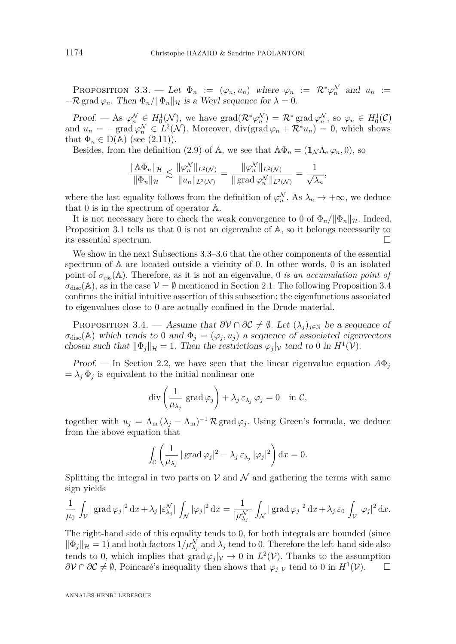<span id="page-13-0"></span>PROPOSITION 3.3. — Let  $\Phi_n := (\varphi_n, u_n)$  where  $\varphi_n := \mathcal{R}^* \varphi_n^{\mathcal{N}}$  and  $u_n :=$  $-\mathcal{R}$  grad  $\varphi_n$ *.* Then  $\Phi_n / \|\Phi_n\|_{\mathcal{H}}$  is a Weyl sequence for  $\lambda = 0$ *.* 

Proof. — As  $\varphi_n^{\mathcal{N}} \in H_0^1(\mathcal{N})$ , we have  $\text{grad}(\mathcal{R}^*\varphi_n^{\mathcal{N}}) = \mathcal{R}^*\text{grad}\varphi_n^{\mathcal{N}},$  so  $\varphi_n \in H_0^1(\mathcal{C})$ and  $u_n = -\text{grad }\varphi_n^{\mathcal{N}} \in L^2(\mathcal{N})$ . Moreover, div(grad  $\varphi_n + \mathcal{R}^* u_n$ ) = 0, which shows that  $\Phi_n \in D(\mathbb{A})$  (see [\(2.11\)](#page-7-3)).

Besides, from the definition [\(2.9\)](#page-7-1) of A, we see that  $\mathbb{A}\Phi_n = (\mathbf{1}_{\mathcal{N}}\Lambda_e\varphi_n, 0)$ , so

$$
\frac{\|\mathbb{A}\Phi_n\|_{\mathcal{H}}}{\|\Phi_n\|_{\mathcal{H}}} \lesssim \frac{\|\varphi_n^{\mathcal{N}}\|_{L^2(\mathcal{N})}}{\|u_n\|_{L^2(\mathcal{N})}} = \frac{\|\varphi_n^{\mathcal{N}}\|_{L^2(\mathcal{N})}}{\|\operatorname{grad}\varphi_n^{\mathcal{N}}\|_{L^2(\mathcal{N})}} = \frac{1}{\sqrt{\lambda_n}},
$$

where the last equality follows from the definition of  $\varphi_n^{\mathcal{N}}$ . As  $\lambda_n \to +\infty$ , we deduce that 0 is in the spectrum of operator A.

It is not necessary here to check the weak convergence to 0 of  $\Phi_n / ||\Phi_n||_{\mathcal{H}}$ . Indeed, Proposition [3.1](#page-11-1) tells us that 0 is not an eigenvalue of A*,* so it belongs necessarily to its essential spectrum.

We show in the next Subsections [3.3](#page-14-0)[–3.6](#page-24-0) that the other components of the essential spectrum of A are located outside a vicinity of 0*.* In other words, 0 is an isolated point of *σ*ess(A)*.* Therefore, as it is not an eigenvalue, 0 *is an accumulation point of*  $\sigma_{\text{disc}}(\mathbb{A})$ , as in the case  $\mathcal{V} = \emptyset$  mentioned in Section [2.1.](#page-4-3) The following Proposition [3.4](#page-13-1) confirms the initial intuitive assertion of this subsection: the eigenfunctions associated to eigenvalues close to 0 are actually confined in the Drude material.

<span id="page-13-1"></span>PROPOSITION 3.4. — Assume that  $\partial V \cap \partial C \neq \emptyset$ . Let  $(\lambda_i)_{i \in \mathbb{N}}$  be a sequence of  $\sigma_{\text{disc}}(\mathbb{A})$  which tends to 0 and  $\Phi_j = (\varphi_j, u_j)$  a sequence of associated eigenvectors chosen such that  $\|\Phi_j\|_{\mathcal{H}} = 1$ . Then the restrictions  $\varphi_j|_{\mathcal{V}}$  tend to 0 in  $H^1(\mathcal{V})$ .

Proof. — In Section [2.2,](#page-6-1) we have seen that the linear eigenvalue equation  $A\Phi_j$  $= \lambda_j \Phi_j$  is equivalent to the initial nonlinear one

$$
\operatorname{div}\left(\frac{1}{\mu_{\lambda_j}}\operatorname{grad}\varphi_j\right)+\lambda_j\,\varepsilon_{\lambda_j}\,\varphi_j=0\quad\text{in }\mathcal{C},
$$

together with  $u_j = \Lambda_m (\lambda_j - \Lambda_m)^{-1} \mathcal{R}$  grad  $\varphi_j$ . Using Green's formula, we deduce from the above equation that

$$
\int_{\mathcal{C}} \left( \frac{1}{\mu_{\lambda_j}} \left| \operatorname{grad} \varphi_j \right|^2 - \lambda_j \, \varepsilon_{\lambda_j} \, |\varphi_j|^2 \right) \mathrm{d} x = 0.
$$

Splitting the integral in two parts on  $V$  and  $\mathcal N$  and gathering the terms with same sign yields

$$
\frac{1}{\mu_0} \int_{\mathcal{V}} |\operatorname{grad} \varphi_j|^2 \, dx + \lambda_j |\varepsilon_{\lambda_j}^{\mathcal{N}}| \int_{\mathcal{N}} |\varphi_j|^2 \, dx = \frac{1}{|\mu_{\lambda_j}^{\mathcal{N}}|} \int_{\mathcal{N}} |\operatorname{grad} \varphi_j|^2 \, dx + \lambda_j \varepsilon_0 \int_{\mathcal{V}} |\varphi_j|^2 \, dx.
$$

The right-hand side of this equality tends to 0, for both integrals are bounded (since  $\|\Phi_j\|_{\mathcal{H}} = 1$  and both factors  $1/\mu_{\lambda_j}^{\mathcal{N}}$  and  $\lambda_j$  tend to 0. Therefore the left-hand side also tends to 0, which implies that  $\text{grad } \varphi_j|_{\mathcal{V}} \to 0$  in  $L^2(\mathcal{V})$ . Thanks to the assumption  $\partial V \cap \partial C \neq \emptyset$ , Poincaré's inequality then shows that  $\varphi_j|_V$  tend to 0 in  $H^1(V)$ .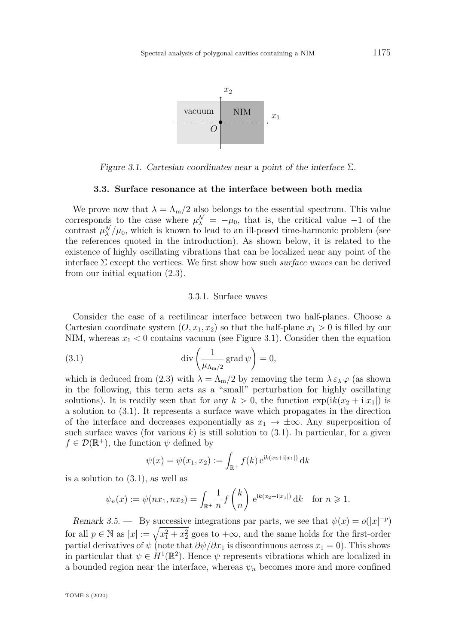

<span id="page-14-1"></span>Figure 3.1. Cartesian coordinates near a point of the interface Σ*.*

#### **3.3. Surface resonance at the interface between both media**

<span id="page-14-0"></span>We prove now that  $\lambda = \Lambda_{\rm m}/2$  also belongs to the essential spectrum. This value corresponds to the case where  $\mu_{\lambda}^{\mathcal{N}} = -\mu_0$ , that is, the critical value −1 of the contrast  $\mu_{\lambda}^{\mathcal{N}}/\mu_0$ , which is known to lead to an ill-posed time-harmonic problem (see the references quoted in the introduction). As shown below, it is related to the existence of highly oscillating vibrations that can be localized near any point of the interface Σ except the vertices. We first show how such *surface waves* can be derived from our initial equation [\(2.3\)](#page-5-4).

#### <span id="page-14-2"></span>3.3.1. Surface waves

Consider the case of a rectilinear interface between two half-planes. Choose a Cartesian coordinate system  $(0, x_1, x_2)$  so that the half-plane  $x_1 > 0$  is filled by our NIM, whereas  $x_1 < 0$  contains vacuum (see Figure [3.1\)](#page-14-1). Consider then the equation

(3.1) 
$$
\operatorname{div}\left(\frac{1}{\mu_{\Lambda_m/2}}\operatorname{grad}\psi\right) = 0,
$$

which is deduced from [\(2.3\)](#page-5-4) with  $\lambda = \Lambda_{\rm m}/2$  by removing the term  $\lambda \varepsilon_{\lambda} \varphi$  (as shown in the following, this term acts as a "small" perturbation for highly oscillating solutions). It is readily seen that for any  $k > 0$ , the function  $\exp(ik(x_2 + i|x_1|))$  is a solution to [\(3.1\)](#page-14-2). It represents a surface wave which propagates in the direction of the interface and decreases exponentially as  $x_1 \rightarrow \pm \infty$ . Any superposition of such surface waves (for various  $k$ ) is still solution to  $(3.1)$ . In particular, for a given  $f \in \mathcal{D}(\mathbb{R}^+)$ , the function  $\psi$  defined by

$$
\psi(x) = \psi(x_1, x_2) := \int_{\mathbb{R}^+} f(k) e^{ik(x_2 + i|x_1|)} dk
$$

is a solution to [\(3.1\)](#page-14-2), as well as

$$
\psi_n(x) := \psi(nx_1, nx_2) = \int_{\mathbb{R}^+} \frac{1}{n} f\left(\frac{k}{n}\right) e^{ik(x_2 + i|x_1|)} dk \text{ for } n \ge 1.
$$

<span id="page-14-3"></span>Remark 3.5. — By successive integrations par parts, we see that  $\psi(x) = o(|x|^{-p})$ for all  $p \in \mathbb{N}$  as  $|x| := \sqrt{x_1^2 + x_2^2}$  goes to  $+\infty$ , and the same holds for the first-order partial derivatives of  $\psi$  (note that  $\frac{\partial \psi}{\partial x_1}$  is discontinuous across  $x_1 = 0$ ). This shows in particular that  $\psi \in H^1(\mathbb{R}^2)$ . Hence  $\psi$  represents vibrations which are localized in a bounded region near the interface, whereas  $\psi_n$  becomes more and more confined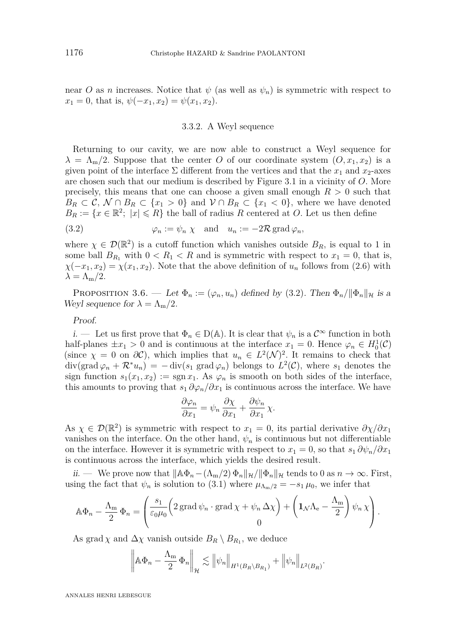near *O* as *n* increases. Notice that  $\psi$  (as well as  $\psi_n$ ) is symmetric with respect to  $x_1 = 0$ , that is,  $\psi(-x_1, x_2) = \psi(x_1, x_2)$ .

#### 3.3.2. A Weyl sequence

Returning to our cavity, we are now able to construct a Weyl sequence for  $\lambda = \Lambda_{m}/2$ . Suppose that the center *O* of our coordinate system  $(0, x_1, x_2)$  is a given point of the interface  $\Sigma$  different from the vertices and that the  $x_1$  and  $x_2$ -axes are chosen such that our medium is described by Figure [3.1](#page-14-1) in a vicinity of *O.* More precisely, this means that one can choose a given small enough  $R > 0$  such that  $B_R \subset \mathcal{C}, \mathcal{N} \cap B_R \subset \{x_1 > 0\}$  and  $\mathcal{V} \cap B_R \subset \{x_1 < 0\}$ , where we have denoted  $B_R := \{x \in \mathbb{R}^2; |x| \leq R\}$  the ball of radius *R* centered at *O*. Let us then define

<span id="page-15-0"></span>(3.2) 
$$
\varphi_n := \psi_n \chi \text{ and } u_n := -2\mathcal{R} \text{ grad } \varphi_n,
$$

where  $\chi \in \mathcal{D}(\mathbb{R}^2)$  is a cutoff function which vanishes outside  $B_R$ , is equal to 1 in some ball  $B_{R_1}$  with  $0 < R_1 < R$  and is symmetric with respect to  $x_1 = 0$ , that is,  $\chi(-x_1, x_2) = \chi(x_1, x_2)$ . Note that the above definition of  $u_n$  follows from [\(2.6\)](#page-7-0) with  $\lambda = \Lambda_{\rm m}/2$ .

<span id="page-15-1"></span>PROPOSITION 3.6. — Let  $\Phi_n := (\varphi_n, u_n)$  defined by [\(3.2\)](#page-15-0). Then  $\Phi_n / ||\Phi_n||_{\mathcal{H}}$  is a Weyl sequence for  $\lambda = \Lambda_{\rm m}/2$ .

#### Proof.

i. — Let us first prove that  $\Phi_n \in D(\mathbb{A})$ . It is clear that  $\psi_n$  is a  $\mathcal{C}^{\infty}$  function in both half-planes  $\pm x_1 > 0$  and is continuous at the interface  $x_1 = 0$ . Hence  $\varphi_n \in H_0^1(\mathcal{C})$ (since  $\chi = 0$  on  $\partial C$ ), which implies that  $u_n \in L^2(\mathcal{N})^2$ . It remains to check that  $\text{div}(\text{grad }\varphi_n + \mathcal{R}^* u_n) = -\text{div}(s_1 \text{ grad }\varphi_n)$  belongs to  $L^2(\mathcal{C})$ , where  $s_1$  denotes the sign function  $s_1(x_1, x_2) := \text{sgn } x_1$ . As  $\varphi_n$  is smooth on both sides of the interface, this amounts to proving that  $s_1 \partial \varphi_n / \partial x_1$  is continuous across the interface. We have

$$
\frac{\partial \varphi_n}{\partial x_1} = \psi_n \frac{\partial \chi}{\partial x_1} + \frac{\partial \psi_n}{\partial x_1} \chi.
$$

As  $\chi \in \mathcal{D}(\mathbb{R}^2)$  is symmetric with respect to  $x_1 = 0$ , its partial derivative  $\partial \chi / \partial x_1$ vanishes on the interface. On the other hand,  $\psi_n$  is continuous but not differentiable on the interface. However it is symmetric with respect to  $x_1 = 0$ , so that  $s_1 \partial \psi_n / \partial x_1$ is continuous across the interface, which yields the desired result.

ii. — We prove now that  $\|\mathbb{A}\Phi_n - (\Lambda_m/2) \Phi_n\|_{\mathcal{H}} / \|\Phi_n\|_{\mathcal{H}}$  tends to 0 as  $n \to \infty$ . First, using the fact that  $\psi_n$  is solution to [\(3.1\)](#page-14-2) where  $\mu_{\Lambda_m/2} = -s_1 \mu_0$ , we infer that

$$
\mathbb{A}\Phi_n - \frac{\Lambda_m}{2}\Phi_n = \left(\frac{s_1}{\varepsilon_0\mu_0} \left(2\operatorname{grad}\psi_n \cdot \operatorname{grad}\chi + \psi_n \Delta \chi\right) + \left(1_{\mathcal{N}}\Lambda_e - \frac{\Lambda_m}{2}\right)\psi_n\chi\right).
$$

As grad  $\chi$  and  $\Delta \chi$  vanish outside  $B_R \setminus B_{R_1}$ , we deduce

$$
\left\|\mathbb{A}\Phi_n - \frac{\Lambda_m}{2}\Phi_n\right\|_{\mathcal{H}} \lesssim \left\|\psi_n\right\|_{H^1(B_R \setminus B_{R_1})} + \left\|\psi_n\right\|_{L^2(B_R)}.
$$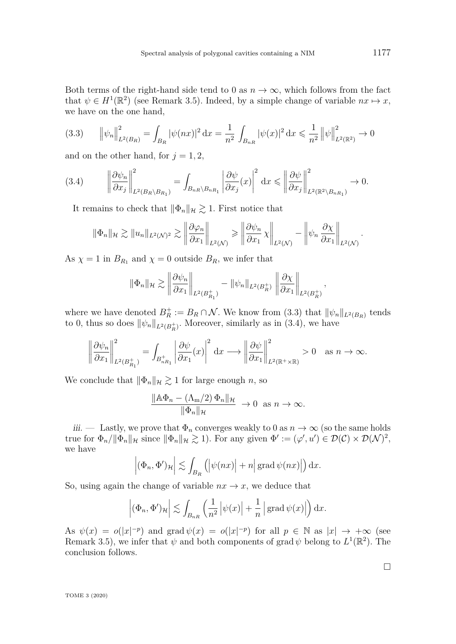Both terms of the right-hand side tend to 0 as  $n \to \infty$ , which follows from the fact that  $\psi \in H^1(\mathbb{R}^2)$  (see Remark [3.5\)](#page-14-3). Indeed, by a simple change of variable  $nx \mapsto x$ , we have on the one hand,

<span id="page-16-0"></span>
$$
(3.3) \qquad \left\|\psi_n\right\|_{L^2(B_R)}^2 = \int_{B_R} |\psi(nx)|^2 \, \mathrm{d}x = \frac{1}{n^2} \int_{B_{nR}} |\psi(x)|^2 \, \mathrm{d}x \le \frac{1}{n^2} \left\|\psi\right\|_{L^2(\mathbb{R}^2)}^2 \to 0
$$

and on the other hand, for  $j = 1, 2$ ,

<span id="page-16-1"></span>
$$
(3.4) \qquad \left\|\frac{\partial\psi_n}{\partial x_j}\right\|_{L^2(B_R\setminus B_{R_1})}^2 = \int_{B_{nR}\setminus B_{nR_1}} \left|\frac{\partial\psi}{\partial x_j}(x)\right|^2 dx \leqslant \left\|\frac{\partial\psi}{\partial x_j}\right\|_{L^2(\mathbb{R}^2\setminus B_{nR_1})}^2 \to 0.
$$

It remains to check that  $\|\Phi_n\|_{\mathcal{H}} \gtrsim 1$ . First notice that

$$
\|\Phi_n\|_{\mathcal{H}} \gtrsim \|u_n\|_{L^2(\mathcal{N})^2} \gtrsim \left\|\frac{\partial \varphi_n}{\partial x_1}\right\|_{L^2(\mathcal{N})} \gtrless \left\|\frac{\partial \psi_n}{\partial x_1}\chi\right\|_{L^2(\mathcal{N})} - \left\|\psi_n\frac{\partial \chi}{\partial x_1}\right\|_{L^2(\mathcal{N})}.
$$

As  $\chi = 1$  in  $B_{R_1}$  and  $\chi = 0$  outside  $B_R$ , we infer that

$$
\|\Phi_n\|_{\mathcal{H}} \gtrsim \left\|\frac{\partial \psi_n}{\partial x_1}\right\|_{L^2(B_{R_1}^+)} - \|\psi_n\|_{L^2(B_R^+)} \left\|\frac{\partial \chi}{\partial x_1}\right\|_{L^2(B_R^+)},
$$

where we have denoted  $B_R^+ := B_R \cap \mathcal{N}$ . We know from [\(3.3\)](#page-16-0) that  $\|\psi_n\|_{L^2(B_R)}$  tends to 0, thus so does  $\|\psi_n\|_{L^2(B_R^+)}$ . Moreover, similarly as in [\(3.4\)](#page-16-1), we have

$$
\left\|\frac{\partial\psi_n}{\partial x_1}\right\|_{L^2(B_{R_1}^+)}^2 = \int_{B_{nR_1}^+} \left|\frac{\partial\psi}{\partial x_1}(x)\right|^2 dx \longrightarrow \left\|\frac{\partial\psi}{\partial x_1}\right\|_{L^2(\mathbb{R}^+\times\mathbb{R})}^2 > 0 \quad \text{as } n \to \infty.
$$

We conclude that  $\|\Phi_n\|_{\mathcal{H}} \gtrsim 1$  for large enough *n*, so

$$
\frac{\|\mathbb{A}\Phi_n - (\Lambda_m/2)\Phi_n\|_{\mathcal{H}}}{\|\Phi_n\|_{\mathcal{H}}} \to 0 \text{ as } n \to \infty.
$$

iii. — Lastly, we prove that  $\Phi_n$  converges weakly to 0 as  $n \to \infty$  (so the same holds true for  $\Phi_n / ||\Phi_n||_{\mathcal{H}}$  since  $||\Phi_n||_{\mathcal{H}} \gtrsim 1$ ). For any given  $\Phi' := (\varphi', u') \in \mathcal{D}(\mathcal{C}) \times \mathcal{D}(\mathcal{N})^2$ , we have

$$
\left|(\Phi_n, \Phi')_{\mathcal{H}}\right| \lesssim \int_{B_R} \left( \left|\psi(nx)\right| + n \right| \operatorname{grad} \psi(nx) \right| \, dx.
$$

So, using again the change of variable  $nx \to x$ , we deduce that

$$
\left|(\Phi_n, \Phi')_{\mathcal{H}}\right| \lesssim \int_{B_{nR}} \left(\frac{1}{n^2} \left|\psi(x)\right| + \frac{1}{n} \left|\operatorname{grad} \psi(x)\right|\right) \mathrm{d} x.
$$

As  $\psi(x) = o(|x|^{-p})$  and grad  $\psi(x) = o(|x|^{-p})$  for all  $p \in \mathbb{N}$  as  $|x| \to +\infty$  (see Remark [3.5\)](#page-14-3), we infer that  $\psi$  and both components of grad  $\psi$  belong to  $L^1(\mathbb{R}^2)$ . The conclusion follows.

 $\Box$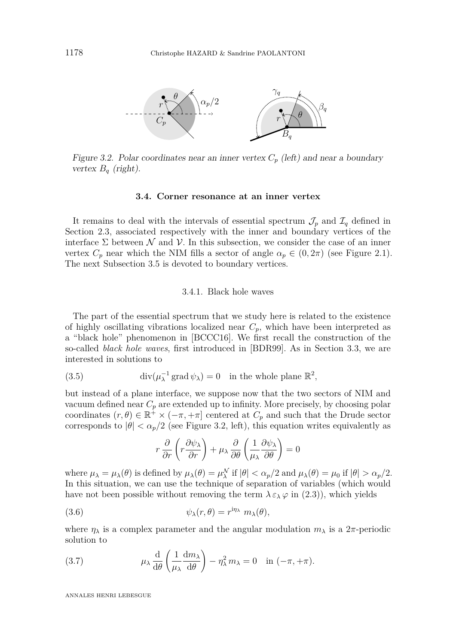<span id="page-17-5"></span>

<span id="page-17-0"></span>Figure 3.2. Polar coordinates near an inner vertex  $C_p$  (left) and near a boundary vertex  $B_q$  (right).

#### **3.4. Corner resonance at an inner vertex**

<span id="page-17-4"></span>It remains to deal with the intervals of essential spectrum  $\mathcal{J}_p$  and  $\mathcal{I}_q$  defined in Section [2.3,](#page-8-1) associated respectively with the inner and boundary vertices of the interface  $\Sigma$  between  $\mathcal N$  and  $\mathcal V$ . In this subsection, we consider the case of an inner vertex  $C_p$  near which the NIM fills a sector of angle  $\alpha_p \in (0, 2\pi)$  (see Figure [2.1\)](#page-4-1). The next Subsection [3.5](#page-23-0) is devoted to boundary vertices.

#### 3.4.1. Black hole waves

The part of the essential spectrum that we study here is related to the existence of highly oscillating vibrations localized near  $C_p$ , which have been interpreted as a "black hole" phenomenon in [\[BCCC16\]](#page-30-9). We first recall the construction of the so-called *black hole waves*, first introduced in [\[BDR99\]](#page-30-2). As in Section [3.3,](#page-14-0) we are interested in solutions to

(3.5) 
$$
\operatorname{div}(\mu_{\lambda}^{-1}\operatorname{grad}\psi_{\lambda})=0 \text{ in the whole plane } \mathbb{R}^2,
$$

but instead of a plane interface, we suppose now that the two sectors of NIM and vacuum defined near  $C_p$  are extended up to infinity. More precisely, by choosing polar coordinates  $(r, \theta) \in \mathbb{R}^+ \times (-\pi, +\pi]$  centered at  $C_p$  and such that the Drude sector corresponds to  $|\theta| < \alpha_p/2$  (see Figure [3.2,](#page-17-0) left), this equation writes equivalently as

<span id="page-17-3"></span><span id="page-17-2"></span>
$$
r\frac{\partial}{\partial r}\left(r\frac{\partial\psi_{\lambda}}{\partial r}\right) + \mu_{\lambda}\frac{\partial}{\partial \theta}\left(\frac{1}{\mu_{\lambda}}\frac{\partial\psi_{\lambda}}{\partial \theta}\right) = 0
$$

where  $\mu_{\lambda} = \mu_{\lambda}(\theta)$  is defined by  $\mu_{\lambda}(\theta) = \mu_{\lambda}^{N}$  if  $|\theta| < \alpha_{p}/2$  and  $\mu_{\lambda}(\theta) = \mu_{0}$  if  $|\theta| > \alpha_{p}/2$ . In this situation, we can use the technique of separation of variables (which would have not been possible without removing the term  $\lambda \varepsilon_\lambda \varphi$  in [\(2.3\)](#page-5-4)), which yields

(3.6) 
$$
\psi_{\lambda}(r,\theta) = r^{\mathrm{i}\eta_{\lambda}} m_{\lambda}(\theta),
$$

where  $\eta_{\lambda}$  is a complex parameter and the angular modulation  $m_{\lambda}$  is a  $2\pi$ -periodic solution to

<span id="page-17-1"></span>(3.7) 
$$
\mu_{\lambda} \frac{d}{d\theta} \left( \frac{1}{\mu_{\lambda}} \frac{dm_{\lambda}}{d\theta} \right) - \eta_{\lambda}^{2} m_{\lambda} = 0 \quad \text{in } (-\pi, +\pi).
$$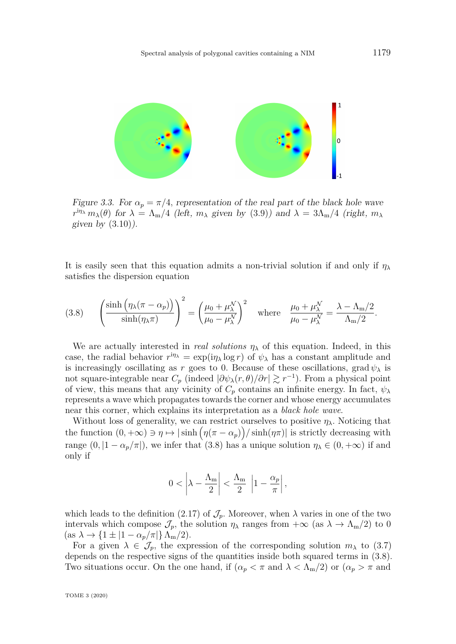

<span id="page-18-1"></span>Figure 3.3. For *α<sup>p</sup>* = *π/*4*,* representation of the real part of the black hole wave Figure 3.3. For  $\alpha_p = \pi/4$ , representation of the real part of the black hole wave  $r^{\text{in}}\lambda$  *m*<sub> $\lambda$ </sub>(*θ*) for  $\lambda = \Lambda_{\text{m}}/4$  (left,  $m_{\lambda}$  given by [\(3.9\)](#page-19-0)) and  $\lambda = 3\Lambda_{\text{m}}/4$  (right,  $m_{\lambda}$ given by  $(3.10)$ ).

It is easily seen that this equation admits a non-trivial solution if and only if  $\eta_{\lambda}$  satisfies the dispersion equation satisfies the dispersion equation  $\frac{1}{\sqrt{2}}$  strictly decreasing with  $\frac{1}{\sqrt{2}}$ 

<span id="page-18-0"></span>(3.8) 
$$
\left(\frac{\sinh\left(\eta_{\lambda}(\pi-\alpha_p)\right)}{\sinh(\eta_{\lambda}\pi)}\right)^2 = \left(\frac{\mu_0 + \mu_{\lambda}^{\mathcal{N}}}{\mu_0 - \mu_{\lambda}^{\mathcal{N}}}\right)^2 \text{ where } \frac{\mu_0 + \mu_{\lambda}^{\mathcal{N}}}{\mu_0 - \mu_{\lambda}^{\mathcal{N}}} = \frac{\lambda - \Lambda_m/2}{\Lambda_m/2}.
$$

We are actually interested in *real solutions*  $\eta_{\lambda}$  of this equation. Indeed, in this case, the radial behavior  $r^{\text{in}} = \exp(i\eta_\lambda \log r)$  of  $\psi_\lambda$  has a constant amplitude and is increasingly oscillating as *r* goes to 0. Because of these oscillations, grad  $\psi_{\lambda}$  is not square-integrable near  $C_p$  (indeed  $|\partial \psi_{\lambda}(r,\theta)/\partial r| \gtrsim r^{-1}$ ). From a physical point of view, this means that any vicinity of  $C_p$  contains an infinite energy. In fact,  $\psi_{\lambda}$ *represents a wave which propagates towards the corner and whose energy accumulates* near this corner, which explains its interpretation as a *black hole wave*.

the function  $(0, +\infty) \ni \eta \mapsto |\sinh(\eta(\pi - \alpha_p))| / \sinh(\eta \pi)|$  is strictly decreasing with Without loss of generality, we can restrict ourselves to positive  $\eta_{\lambda}$ . Noticing that range  $(0, |1 - \alpha_p/\pi|)$ , we infer that [\(3.8\)](#page-18-0) has a unique solution  $\eta_{\lambda} \in (0, +\infty)$  if and only if only if

$$
0 < \left|\lambda - \frac{\Lambda_{\mathrm{m}}}{2}\right| < \frac{\Lambda_{\mathrm{m}}}{2} \left|1 - \frac{\alpha_p}{\pi}\right|,
$$

which leads to the definition [\(2.17\)](#page-9-0) of  $\mathcal{J}_p$ . Moreover, when  $\lambda$  varies in one of the two which leads to the definition (2.17) of  $J_p$ . Moreover, when  $\lambda$  varies in one of the two intervals which compose  $J_p$ , the solution  $\eta_\lambda$  ranges from  $+\infty$  (as  $\lambda \to \Lambda_m/2$ ) to 0  $(\text{as } \lambda \to \{1 \pm |1 - \alpha_p/\pi|\} \Lambda_m/2).$ 

For a given  $\lambda \in \mathcal{J}_p$ , the expression of the corresponding solution  $m_\lambda$  to [\(3.7\)](#page-17-1) depends on the respective signs of the quantities inside both squared terms in [\(3.8\)](#page-18-0). Both figures are very set the surface of the quantities instate work squared verifies in (900). Two situations occur. On the one hand, if  $(\alpha_p < \pi \text{ and } \lambda < \Lambda_m/2)$  or  $(\alpha_p > \pi \text{ and } \lambda > \pi)$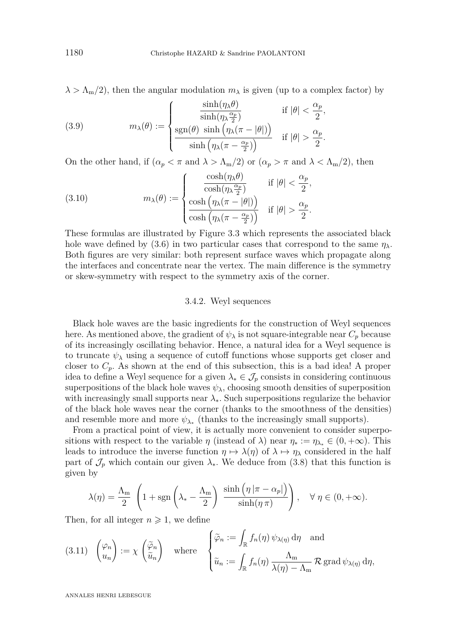$\lambda > \Lambda_{\rm m}/2$ , then the angular modulation  $m_{\lambda}$  is given (up to a complex factor) by

<span id="page-19-0"></span>(3.9) 
$$
m_{\lambda}(\theta) := \begin{cases} \frac{\sinh(\eta_{\lambda}\theta)}{\sinh(\eta_{\lambda}\frac{\alpha_p}{2})} & \text{if } |\theta| < \frac{\alpha_p}{2}, \\ \frac{\text{sgn}(\theta)}{\sinh(\eta_{\lambda}(\pi - |\theta|))} & \text{if } |\theta| > \frac{\alpha_p}{2}. \end{cases}
$$

On the other hand, if  $(\alpha_p < \pi \text{ and } \lambda > \Lambda_m/2)$  or  $(\alpha_p > \pi \text{ and } \lambda < \Lambda_m/2)$ , then

<span id="page-19-1"></span>(3.10) 
$$
m_{\lambda}(\theta) := \begin{cases} \frac{\cosh(\eta_{\lambda}\theta)}{\cosh(\eta_{\lambda}\frac{\alpha_p}{2})} & \text{if } |\theta| < \frac{\alpha_p}{2}, \\ \frac{\cosh(\eta_{\lambda}(\pi - |\theta|))}{\cosh(\eta_{\lambda}(\pi - \frac{\alpha_p}{2}))} & \text{if } |\theta| > \frac{\alpha_p}{2}. \end{cases}
$$

These formulas are illustrated by Figure [3.3](#page-18-1) which represents the associated black hole wave defined by  $(3.6)$  in two particular cases that correspond to the same  $\eta_\lambda$ . Both figures are very similar: both represent surface waves which propagate along the interfaces and concentrate near the vertex. The main difference is the symmetry or skew-symmetry with respect to the symmetry axis of the corner.

## 3.4.2. Weyl sequences

Black hole waves are the basic ingredients for the construction of Weyl sequences here. As mentioned above, the gradient of  $\psi_{\lambda}$  is not square-integrable near  $C_p$  because of its increasingly oscillating behavior. Hence, a natural idea for a Weyl sequence is to truncate  $\psi_{\lambda}$  using a sequence of cutoff functions whose supports get closer and closer to *Cp.* As shown at the end of this subsection, this is a bad idea! A proper idea to define a Weyl sequence for a given  $\lambda_* \in \mathcal{J}_p$  consists in considering continuous superpositions of the black hole waves  $\psi_{\lambda}$ , choosing smooth densities of superposition with increasingly small supports near  $\lambda_*$ . Such superpositions regularize the behavior of the black hole waves near the corner (thanks to the smoothness of the densities) and resemble more and more  $\psi_{\lambda_*}$  (thanks to the increasingly small supports).

From a practical point of view, it is actually more convenient to consider superpositions with respect to the variable *η* (instead of  $\lambda$ ) near  $\eta_* := \eta_{\lambda_*} \in (0, +\infty)$ . This leads to introduce the inverse function  $\eta \mapsto \lambda(\eta)$  of  $\lambda \mapsto \eta_{\lambda}$  considered in the half part of  $\mathcal{J}_p$  which contain our given  $\lambda_*$ . We deduce from [\(3.8\)](#page-18-0) that this function is given by

$$
\lambda(\eta) = \frac{\Lambda_m}{2} \left( 1 + \text{sgn}\left( \lambda_* - \frac{\Lambda_m}{2} \right) \frac{\sinh\left( \eta \left| \pi - \alpha_p \right| \right)}{\sinh\left( \eta \pi \right)} \right), \quad \forall \ \eta \in (0, +\infty).
$$

Then, for all integer  $n \geq 1$ , we define

<span id="page-19-2"></span>(3.11) 
$$
\begin{pmatrix} \varphi_n \\ u_n \end{pmatrix} := \chi \begin{pmatrix} \tilde{\varphi}_n \\ \tilde{u}_n \end{pmatrix}
$$
 where  $\begin{cases} \tilde{\varphi}_n := \int_{\mathbb{R}} f_n(\eta) \psi_{\lambda(\eta)} d\eta \text{ and } \\ \tilde{u}_n := \int_{\mathbb{R}} f_n(\eta) \frac{\Lambda_m}{\lambda(\eta) - \Lambda_m} \mathcal{R} \operatorname{grad} \psi_{\lambda(\eta)} d\eta, \end{cases}$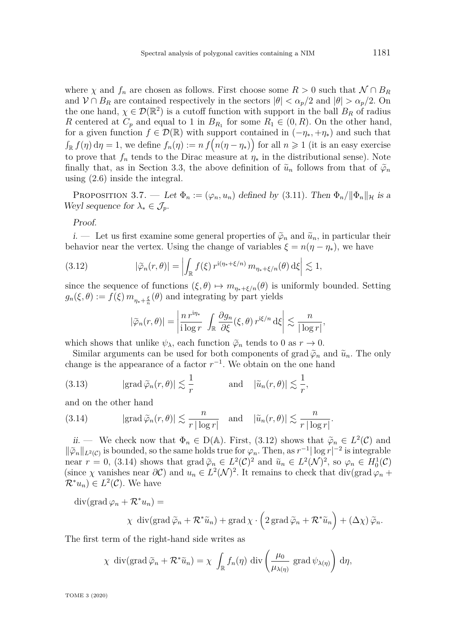where  $\chi$  and  $f_n$  are chosen as follows. First choose some  $R > 0$  such that  $\mathcal{N} \cap B_R$ and  $V \cap B_R$  are contained respectively in the sectors  $|\theta| < \alpha_p/2$  and  $|\theta| > \alpha_p/2$ . On the one hand,  $\chi \in \mathcal{D}(\mathbb{R}^2)$  is a cutoff function with support in the ball  $B_R$  of radius *R* centered at  $C_p$  and equal to 1 in  $B_{R_1}$  for some  $R_1 \in (0, R)$ . On the other hand, for a given function  $f \in \mathcal{D}(\mathbb{R})$  with support contained in  $(-\eta_*, +\eta_*)$  and such that  $\int_{\mathbb{R}} f(\eta) d\eta = 1$ , we define  $f_n(\eta) := n f(n(\eta - \eta_*)$  for all  $n \geq 1$  (it is an easy exercise to prove that  $f_n$  tends to the Dirac measure at  $\eta_*$  in the distributional sense). Note finally that, as in Section [3.3,](#page-14-0) the above definition of  $\tilde{u}_n$  follows from that of  $\tilde{\varphi}_n$ using [\(2.6\)](#page-7-0) inside the integral.

<span id="page-20-4"></span>PROPOSITION 3.7. — Let  $\Phi_n := (\varphi_n, u_n)$  defined by [\(3.11\)](#page-19-2). Then  $\Phi_n / ||\Phi_n||_{\mathcal{H}}$  is a Weyl sequence for  $\lambda_* \in \mathcal{J}_p$ .

Proof.

<span id="page-20-3"></span>i. — Let us first examine some general properties of  $\tilde{\varphi}_n$  and  $\tilde{u}_n$ , in particular their behavior near the vertex. Using the change of variables  $\xi = n(\eta - \eta_*)$ , we have

(3.12) 
$$
|\tilde{\varphi}_n(r,\theta)| = \left| \int_{\mathbb{R}} f(\xi) r^{i(\eta_*+\xi/n)} m_{\eta_*+\xi/n}(\theta) d\xi \right| \lesssim 1,
$$

since the sequence of functions  $(\xi, \theta) \mapsto m_{\eta_*+\xi/n}(\theta)$  is uniformly bounded. Setting  $g_n(\xi, \theta) := f(\xi) m_{\eta_* + \frac{\xi}{n}}(\theta)$  and integrating by part yields

<span id="page-20-0"></span>
$$
|\widetilde{\varphi}_n(r,\theta)| = \left|\frac{n\,r^{\mathrm{i}\eta_*}}{\mathrm{i}\log r}\,\int_{\mathbb{R}}\frac{\partial g_n}{\partial \xi}(\xi,\theta)\,r^{\mathrm{i}\xi/n}\,\mathrm{d}\xi\right| \lesssim \frac{n}{|\log r|},
$$

which shows that unlike  $\psi_{\lambda}$ , each function  $\tilde{\varphi}_n$  tends to 0 as  $r \to 0$ .

Similar arguments can be used for both components of grad  $\tilde{\varphi}_n$  and  $\tilde{u}_n$ . The only change is the appearance of a factor  $r^{-1}$ . We obtain on the one hand

<span id="page-20-2"></span>(3.13) 
$$
|\text{grad }\tilde{\varphi}_n(r,\theta)| \lesssim \frac{1}{r}
$$
 and  $|\tilde{u}_n(r,\theta)| \lesssim \frac{1}{r}$ ,

and on the other hand

<span id="page-20-1"></span>(3.14) 
$$
|\text{grad}\,\widetilde{\varphi}_n(r,\theta)| \lesssim \frac{n}{r|\log r|} \text{ and } |\widetilde{u}_n(r,\theta)| \lesssim \frac{n}{r|\log r|}.
$$

ii. — We check now that  $\Phi_n \in D(\mathbb{A})$ . First, [\(3.12\)](#page-20-0) shows that  $\tilde{\varphi}_n \in L^2(\mathcal{C})$  and  $\|\widetilde{\varphi}_n\|_{L^2(\mathcal{C})}$  is bounded, so the same holds true for  $\varphi_n$ . Then, as  $r^{-1}|\log r|^{-2}$  is integrable near  $r = 0$ , [\(3.14\)](#page-20-1) shows that grad  $\widetilde{\varphi}_n \in L^2(\mathcal{C})^2$  and  $\widetilde{u}_n \in L^2(\mathcal{N})^2$ , so  $\varphi_n \in H_0^1(\mathcal{C})$ (since  $\chi$  vanishes near  $\partial C$ ) and  $u_n \in L^2(\mathcal{N})^2$ . It remains to check that div(grad  $\varphi_n$  +  $\mathcal{R}^*u_n) \in L^2(\mathcal{C})$ . We have

 $\operatorname{div}(\operatorname{grad} \varphi_n + \mathcal{R}^* u_n) =$ 

$$
\chi \operatorname{div}(\operatorname{grad} \widetilde{\varphi}_n + \mathcal{R}^* \widetilde{u}_n) + \operatorname{grad} \chi \cdot \left(2 \operatorname{grad} \widetilde{\varphi}_n + \mathcal{R}^* \widetilde{u}_n\right) + \left(\Delta \chi\right) \widetilde{\varphi}_n.
$$

The first term of the right-hand side writes as

$$
\chi \operatorname{div}(\operatorname{grad} \widetilde{\varphi}_n + \mathcal{R}^* \widetilde{u}_n) = \chi \int_{\mathbb{R}} f_n(\eta) \operatorname{div} \left( \frac{\mu_0}{\mu_{\lambda(\eta)}} \operatorname{grad} \psi_{\lambda(\eta)} \right) d\eta,
$$

TOME 3 (2020)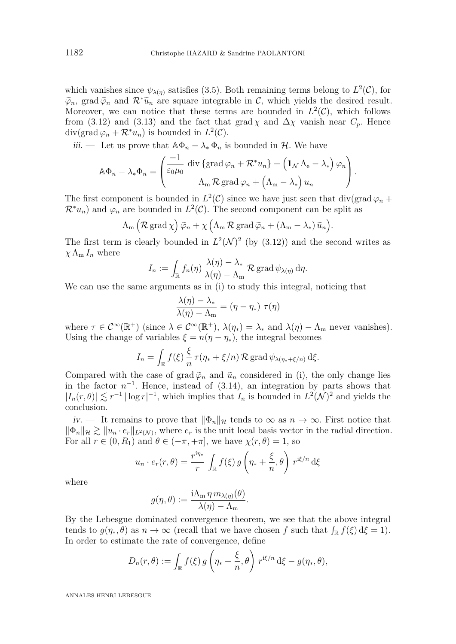which vanishes since  $\psi_{\lambda(\eta)}$  satisfies [\(3.5\)](#page-17-3). Both remaining terms belong to  $L^2(\mathcal{C})$ , for  $\widetilde{\varphi}_n$ , grad  $\widetilde{\varphi}_n$  and  $\mathcal{R}^*\widetilde{u}_n$  are square integrable in C, which yields the desired result. Moreover, we can notice that these terms are bounded in  $L^2(\mathcal{C})$ , which follows from [\(3.12\)](#page-20-0) and [\(3.13\)](#page-20-2) and the fact that grad  $\chi$  and  $\Delta \chi$  vanish near  $C_p$ . Hence  $\text{div}(\text{grad}\,\varphi_n + \mathcal{R}^*u_n)$  is bounded in  $L^2(\mathcal{C})$ .

<span id="page-21-0"></span>iii. — Let us prove that  $\mathbb{A}\Phi_n - \lambda_* \Phi_n$  is bounded in *H*. We have

$$
\mathbb{A}\Phi_n - \lambda_* \Phi_n = \begin{pmatrix} \frac{-1}{\varepsilon_0 \mu_0} \operatorname{div} \{ \operatorname{grad} \varphi_n + \mathcal{R}^* u_n \} + \left( \mathbf{1}_{\mathcal{N}} \Lambda_e - \lambda_* \right) \varphi_n \\ \Lambda_m \mathcal{R} \operatorname{grad} \varphi_n + \left( \Lambda_m - \lambda_* \right) u_n \end{pmatrix}.
$$

The first component is bounded in  $L^2(\mathcal{C})$  since we have just seen that div(grad  $\varphi_n$  +  $\mathcal{R}^*u_n$  and  $\varphi_n$  are bounded in  $L^2(\mathcal{C})$ . The second component can be split as

$$
\Lambda_{\mathbf{m}}\left(\mathcal{R}\,\mathrm{grad}\,\chi\right)\widetilde{\varphi}_n+\chi\left(\Lambda_{\mathbf{m}}\,\mathcal{R}\,\mathrm{grad}\,\widetilde{\varphi}_n+\left(\Lambda_{\mathbf{m}}-\lambda_*\right)\widetilde{u}_n\right).
$$

The first term is clearly bounded in  $L^2(\mathcal{N})^2$  (by [\(3.12\)](#page-20-0)) and the second writes as  $\chi \Lambda_{\rm m} I_n$  where

$$
I_n := \int_{\mathbb{R}} f_n(\eta) \, \frac{\lambda(\eta) - \lambda_*}{\lambda(\eta) - \Lambda_m} \, \mathcal{R} \operatorname{grad} \psi_{\lambda(\eta)} \, \mathrm{d}\eta.
$$

We can use the same arguments as in [\(i\)](#page-20-3) to study this integral, noticing that

$$
\frac{\lambda(\eta) - \lambda_*}{\lambda(\eta) - \Lambda_m} = (\eta - \eta_*) \tau(\eta)
$$

where  $\tau \in C^{\infty}(\mathbb{R}^+)$  (since  $\lambda \in C^{\infty}(\mathbb{R}^+)$ ,  $\lambda(\eta_*) = \lambda_*$  and  $\lambda(\eta) - \Lambda_{\text{m}}$  never vanishes). Using the change of variables  $\xi = n(\eta - \eta_*)$ , the integral becomes

$$
I_n = \int_{\mathbb{R}} f(\xi) \frac{\xi}{n} \tau(\eta_* + \xi/n) \mathcal{R} \operatorname{grad} \psi_{\lambda(\eta_* + \xi/n)} d\xi.
$$

Compared with the case of grad  $\tilde{\varphi}_n$  and  $\tilde{u}_n$  considered in [\(i\)](#page-20-3), the only change lies in the factor  $n^{-1}$ . Hence, instead of  $(3.14)$ , an integration by parts shows that  $|I_n(r, \theta)| \lesssim r^{-1} |\log r|^{-1}$ , which implies that  $I_n$  is bounded in  $L^2(\mathcal{N})^2$  and yields the conclusion.

iv. — It remains to prove that  $\|\Phi_n\|_{\mathcal{H}}$  tends to  $\infty$  as  $n \to \infty$ . First notice that  $\|\Phi_n\|_{\mathcal{H}} \gtrsim \|u_n \cdot e_r\|_{L^2(\mathcal{N})}$ , where  $e_r$  is the unit local basis vector in the radial direction. For all  $r \in (0, R_1)$  and  $\theta \in (-\pi, +\pi]$ , we have  $\chi(r, \theta) = 1$ , so

$$
u_n \cdot e_r(r,\theta) = \frac{r^{i\eta_*}}{r} \int_{\mathbb{R}} f(\xi) g\left(\eta_* + \frac{\xi}{n}, \theta\right) r^{i\xi/n} d\xi
$$

where

$$
g(\eta,\theta) := \frac{\mathrm{i}\Lambda_{\mathrm{m}}\,\eta\,m_{\lambda(\eta)}(\theta)}{\lambda(\eta)-\Lambda_{\mathrm{m}}}.
$$

By the Lebesgue dominated convergence theorem, we see that the above integral tends to  $g(\eta_*, \theta)$  as  $n \to \infty$  (recall that we have chosen *f* such that  $\int_{\mathbb{R}} f(\xi) d\xi = 1$ ). In order to estimate the rate of convergence, define

$$
D_n(r,\theta) := \int_{\mathbb{R}} f(\xi) g\left(\eta_* + \frac{\xi}{n}, \theta\right) r^{i\xi/n} d\xi - g(\eta_*, \theta),
$$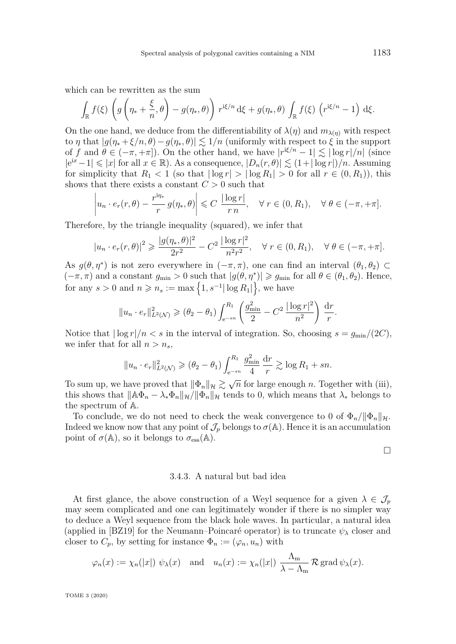<span id="page-22-0"></span>which can be rewritten as the sum

$$
\int_{\mathbb{R}} f(\xi) \left( g \left( \eta_* + \frac{\xi}{n}, \theta \right) - g(\eta_*, \theta) \right) r^{i\xi/n} d\xi + g(\eta_*, \theta) \int_{\mathbb{R}} f(\xi) \left( r^{i\xi/n} - 1 \right) d\xi.
$$

On the one hand, we deduce from the differentiability of  $\lambda(\eta)$  and  $m_{\lambda(\eta)}$  with respect to *η* that  $|g(\eta_* + \xi/n, \theta) - g(\eta_*, \theta)| \lesssim 1/n$  (uniformly with respect to  $\xi$  in the support of *f* and  $\theta \in (-\pi, +\pi]$ ). On the other hand, we have  $|r^{i\xi/n} - 1| \lesssim |\log r|/n|$  (since  $|e^{ix}-1|$  ≤ |*x*| for all *x* ∈ ℝ*)*. As a consequence,  $|D_n(r, \theta)|$  ≤  $(1+|\log r|)/n$ . Assuming for simplicity that  $R_1 < 1$  (so that  $|\log r| > |\log R_1| > 0$  for all  $r \in (0, R_1)$ ), this shows that there exists a constant  $C > 0$  such that

$$
\left| u_n \cdot e_r(r,\theta) - \frac{r^{i\eta_*}}{r} g(\eta_*,\theta) \right| \leqslant C \frac{|\log r|}{r n}, \quad \forall \ r \in (0,R_1), \quad \forall \ \theta \in (-\pi,+\pi].
$$

Therefore, by the triangle inequality (squared), we infer that

$$
|u_n \cdot e_r(r,\theta)|^2 \geq \frac{|g(\eta_*,\theta)|^2}{2r^2} - C^2 \frac{|\log r|^2}{n^2r^2}, \quad \forall \ r \in (0,R_1), \quad \forall \ \theta \in (-\pi,+\pi].
$$

As  $g(\theta, \eta^*)$  is not zero everywhere in  $(-\pi, \pi)$ , one can find an interval  $(\theta_1, \theta_2) \subset$  $(-\pi, \pi)$  and a constant  $g_{\min} > 0$  such that  $|g(\theta, \eta^*)| \geq g_{\min}$  for all  $\theta \in (\theta_1, \theta_2)$ . Hence, for any  $s > 0$  and  $n \ge n_s := \max\left\{1, s^{-1} |\log R_1|\right\}$ , we have

$$
||u_n \cdot e_r||_{L^2(\mathcal{N})}^2 \geq (\theta_2 - \theta_1) \int_{e^{-sn}}^{R_1} \left( \frac{g_{\min}^2}{2} - C^2 \frac{|\log r|^2}{n^2} \right) \frac{dr}{r}.
$$

Notice that  $|\log r|/n < s$  in the interval of integration. So, choosing  $s = g_{\min}/(2C)$ , we infer that for all  $n > n_s$ ,

$$
||u_n \tcdot e_r||_{L^2(\mathcal{N})}^2 \ge (\theta_2 - \theta_1) \int_{e^{-sn}}^{R_1} \frac{g_{\min}^2}{4} \frac{dr}{r} \gtrsim \log R_1 + sn.
$$

To sum up, we have proved that  $\|\Phi_n\|_{\mathcal{H}} \gtrsim \sqrt{n}$  for large enough *n*. Together with [\(iii\)](#page-21-0), this shows that  $\|\mathbb{A}\Phi_n - \lambda_* \Phi_n\|_{\mathcal{H}} / \|\Phi_n\|_{\mathcal{H}}$  tends to 0, which means that  $\lambda_*$  belongs to the spectrum of A.

To conclude, we do not need to check the weak convergence to 0 of  $\Phi_n / ||\Phi_n||_{\mathcal{H}}$ . Indeed we know now that any point of  $\mathcal{J}_p$  belongs to  $\sigma(\mathbb{A})$ . Hence it is an accumulation point of  $\sigma(\mathbb{A})$ , so it belongs to  $\sigma_{\text{ess}}(\mathbb{A})$ .

 $\Box$ 

#### 3.4.3. A natural but bad idea

At first glance, the above construction of a Weyl sequence for a given  $\lambda \in \mathcal{J}_p$ may seem complicated and one can legitimately wonder if there is no simpler way to deduce a Weyl sequence from the black hole waves. In particular, a natural idea (applied in [\[BZ19\]](#page-30-6) for the Neumann–Poincaré operator) is to truncate *ψ<sup>λ</sup>* closer and closer to  $C_p$ , by setting for instance  $\Phi_n := (\varphi_n, u_n)$  with

$$
\varphi_n(x) := \chi_n(|x|) \psi_\lambda(x)
$$
 and  $u_n(x) := \chi_n(|x|) \frac{\Lambda_m}{\lambda - \Lambda_m} \mathcal{R} \operatorname{grad} \psi_\lambda(x).$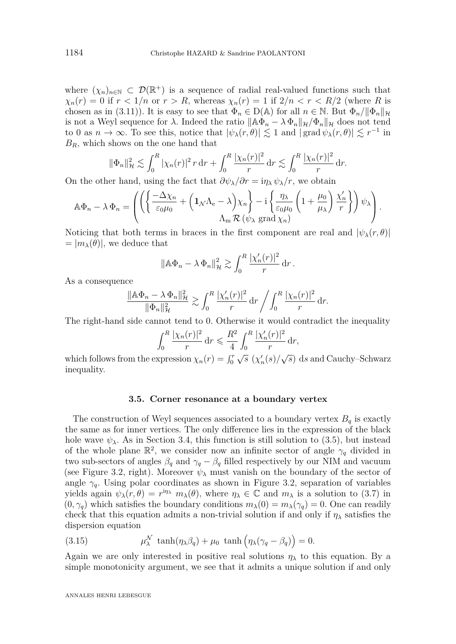where  $(\chi_n)_{n\in\mathbb{N}}\subset\mathcal{D}(\mathbb{R}^+)$  is a sequence of radial real-valued functions such that  $\chi_n(r) = 0$  if  $r < 1/n$  or  $r > R$ , whereas  $\chi_n(r) = 1$  if  $2/n < r < R/2$  (where R is chosen as in [\(3.11\)](#page-19-2)). It is easy to see that  $\Phi_n \in D(\mathbb{A})$  for all  $n \in \mathbb{N}$ . But  $\Phi_n / \|\Phi_n\|_{\mathcal{H}}$ is not a Weyl sequence for  $\lambda$ . Indeed the ratio  $\|\mathbb{A}\Phi_n - \lambda \Phi_n\|_{\mathcal{H}}/\Phi_n\|_{\mathcal{H}}$  does not tend to 0 as  $n \to \infty$ . To see this, notice that  $|\psi_{\lambda}(r,\theta)| \lesssim 1$  and  $|\text{grad } \psi_{\lambda}(r,\theta)| \lesssim r^{-1}$  in *BR,* which shows on the one hand that

$$
\|\Phi_n\|_{\mathcal{H}}^2 \lesssim \int_0^R |\chi_n(r)|^2 r \, dr + \int_0^R \frac{|\chi_n(r)|^2}{r} \, dr \lesssim \int_0^R \frac{|\chi_n(r)|^2}{r} \, dr.
$$

On the other hand, using the fact that  $\partial \psi_{\lambda}/\partial r = i\eta_{\lambda} \psi_{\lambda}/r$ , we obtain

$$
\mathbb{A}\Phi_n - \lambda \Phi_n = \left( \left( \left\{ \frac{-\Delta \chi_n}{\varepsilon_0 \mu_0} + \left( \mathbf{1}_{\mathcal{N}} \Lambda_e - \lambda \right) \chi_n \right\} - i \left\{ \frac{\eta_\lambda}{\varepsilon_0 \mu_0} \left( 1 + \frac{\mu_0}{\mu_\lambda} \right) \frac{\chi_n'}{r} \right\} \right) \psi_\lambda \right).
$$

Noticing that both terms in braces in the first component are real and  $|\psi_{\lambda}(r,\theta)|$  $= |m_{\lambda}(\theta)|$ , we deduce that

$$
\|\mathbb{A}\Phi_n - \lambda \Phi_n\|_{\mathcal{H}}^2 \gtrsim \int_0^R \frac{|\chi_n'(r)|^2}{r} \, \mathrm{d}r \,.
$$

As a consequence

$$
\frac{\|\mathbb{A}\Phi_n - \lambda \Phi_n\|_{\mathcal{H}}^2}{\|\Phi_n\|_{\mathcal{H}}^2} \gtrsim \int_0^R \frac{|\chi_n'(r)|^2}{r} \, dr \bigg/ \int_0^R \frac{|\chi_n(r)|^2}{r} \, dr.
$$

The right-hand side cannot tend to 0. Otherwise it would contradict the inequality

$$
\int_0^R \frac{|\chi_n(r)|^2}{r} dr \leqslant \frac{R^2}{4} \int_0^R \frac{|\chi_n'(r)|^2}{r} dr,
$$

which follows from the expression  $\chi_n(r) = \int_0^r \sqrt{s} \left( \chi'_n(s) / \sqrt{s} \right) ds$  and Cauchy–Schwarz inequality.

#### **3.5. Corner resonance at a boundary vertex**

<span id="page-23-0"></span>The construction of Weyl sequences associated to a boundary vertex  $B_q$  is exactly the same as for inner vertices. The only difference lies in the expression of the black hole wave  $\psi_{\lambda}$ . As in Section [3.4,](#page-17-4) this function is still solution to [\(3.5\)](#page-17-3), but instead of the whole plane  $\mathbb{R}^2$ , we consider now an infinite sector of angle  $\gamma_q$  divided in two sub-sectors of angles  $\beta_q$  and  $\gamma_q - \beta_q$  filled respectively by our NIM and vacuum (see Figure [3.2,](#page-17-0) right). Moreover  $\psi_{\lambda}$  must vanish on the boundary of the sector of angle  $\gamma_q$ . Using polar coordinates as shown in Figure [3.2,](#page-17-0) separation of variables yields again  $\psi_{\lambda}(r,\theta) = r^{i\eta_{\lambda}} m_{\lambda}(\theta)$ , where  $\eta_{\lambda} \in \mathbb{C}$  and  $m_{\lambda}$  is a solution to [\(3.7\)](#page-17-1) in  $(0, \gamma_q)$  which satisfies the boundary conditions  $m_\lambda(0) = m_\lambda(\gamma_q) = 0$ . One can readily check that this equation admits a non-trivial solution if and only if  $\eta_{\lambda}$  satisfies the dispersion equation

<span id="page-23-1"></span>(3.15) 
$$
\mu_{\lambda}^{\mathcal{N}} \tanh(\eta_{\lambda} \beta_q) + \mu_0 \tanh(\eta_{\lambda} (\gamma_q - \beta_q)) = 0.
$$

Again we are only interested in positive real solutions  $\eta_{\lambda}$  to this equation. By a simple monotonicity argument, we see that it admits a unique solution if and only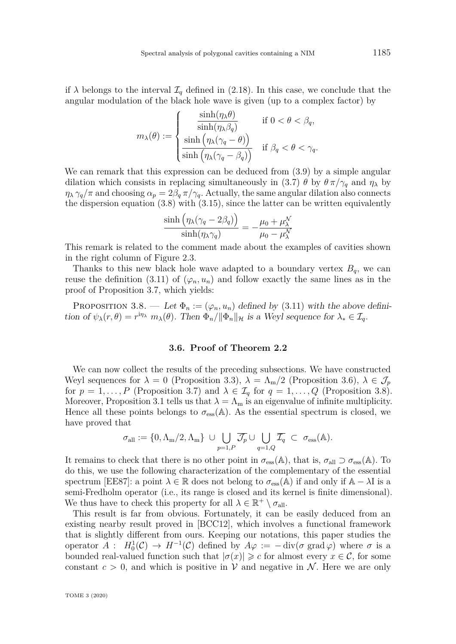<span id="page-24-2"></span>if  $\lambda$  belongs to the interval  $\mathcal{I}_q$  defined in [\(2.18\)](#page-9-1). In this case, we conclude that the angular modulation of the black hole wave is given (up to a complex factor) by

$$
m_{\lambda}(\theta) := \begin{cases} \frac{\sinh(\eta_{\lambda}\theta)}{\sinh(\eta_{\lambda}\beta_{q})} & \text{if } 0 < \theta < \beta_{q}, \\ \frac{\sinh(\eta_{\lambda}(\gamma_{q} - \theta))}{\sinh(\eta_{\lambda}(\gamma_{q} - \beta_{q}))} & \text{if } \beta_{q} < \theta < \gamma_{q}. \end{cases}
$$

We can remark that this expression can be deduced from  $(3.9)$  by a simple angular dilation which consists in replacing simultaneously in [\(3.7\)](#page-17-1)  $\theta$  by  $\theta \pi / \gamma_q$  and  $\eta_\lambda$  by  $\eta_{\lambda} \gamma_q / \pi$  and choosing  $\alpha_p = 2\beta_q \pi / \gamma_q$ . Actually, the same angular dilation also connects the dispersion equation [\(3.8\)](#page-18-0) with [\(3.15\)](#page-23-1), since the latter can be written equivalently

$$
\frac{\sinh\left(\eta_{\lambda}(\gamma_q - 2\beta_q)\right)}{\sinh(\eta_{\lambda}\gamma_q)} = -\frac{\mu_0 + \mu_{\lambda}^{\mathcal{N}}}{\mu_0 - \mu_{\lambda}^{\mathcal{N}}}
$$

This remark is related to the comment made about the examples of cavities shown in the right column of Figure [2.3.](#page-10-1)

Thanks to this new black hole wave adapted to a boundary vertex  $B_q$ , we can reuse the definition [\(3.11\)](#page-19-2) of  $(\varphi_n, u_n)$  and follow exactly the same lines as in the proof of Proposition [3.7,](#page-20-4) which yields:

<span id="page-24-1"></span>PROPOSITION 3.8. — Let  $\Phi_n := (\varphi_n, u_n)$  defined by [\(3.11\)](#page-19-2) with the above definition of  $\psi_{\lambda}(r,\theta) = r^{\mathrm{i}\eta_{\lambda}} m_{\lambda}(\theta)$ . Then  $\Phi_n / \|\Phi_n\|_{\mathcal{H}}$  is a Weyl sequence for  $\lambda_* \in \mathcal{I}_q$ .

## **3.6. Proof of Theorem [2.2](#page-10-0)**

<span id="page-24-0"></span>We can now collect the results of the preceding subsections. We have constructed Weyl sequences for  $\lambda = 0$  (Proposition [3.3\)](#page-13-0),  $\lambda = \Lambda_{\rm m}/2$  (Proposition [3.6\)](#page-15-1),  $\lambda \in \mathcal{J}_p$ for  $p = 1, \ldots, P$  (Proposition [3.7\)](#page-20-4) and  $\lambda \in \mathcal{I}_q$  for  $q = 1, \ldots, Q$  (Proposition [3.8\)](#page-24-1). Moreover, Proposition [3.1](#page-11-1) tells us that  $\lambda = \Lambda_m$  is an eigenvalue of infinite multiplicity. Hence all these points belongs to  $\sigma_{\rm ess}(\mathbb{A})$ . As the essential spectrum is closed, we have proved that

$$
\sigma_{\text{all}} := \{0, \Lambda_\text{m}/2, \Lambda_\text{m}\} \ \cup \bigcup_{p=1, P} \overline{\mathcal{J}_p} \cup \bigcup_{q=1, Q} \overline{\mathcal{I}_q} \ \subset \ \sigma_{\text{ess}}(\mathbb{A}).
$$

It remains to check that there is no other point in  $\sigma_{\rm ess}(\mathbb{A})$ , that is,  $\sigma_{\rm all} \supset \sigma_{\rm ess}(\mathbb{A})$ . To do this, we use the following characterization of the complementary of the essential spectrum [\[EE87\]](#page-30-16): a point  $\lambda \in \mathbb{R}$  does not belong to  $\sigma_{\text{ess}}(\mathbb{A})$  if and only if  $\mathbb{A} - \lambda I$  is a semi-Fredholm operator (i.e., its range is closed and its kernel is finite dimensional). We thus have to check this property for all  $\lambda \in \mathbb{R}^+ \setminus \sigma_{all}$ .

This result is far from obvious. Fortunately, it can be easily deduced from an existing nearby result proved in [\[BCC12\]](#page-30-3), which involves a functional framework that is slightly different from ours. Keeping our notations, this paper studies the operator  $A: H_0^1(\mathcal{C}) \to H^{-1}(\mathcal{C})$  defined by  $A\varphi := -\text{div}(\sigma \text{ grad }\varphi)$  where  $\sigma$  is a bounded real-valued function such that  $|\sigma(x)| \geq c$  for almost every  $x \in C$ , for some constant  $c > 0$ , and which is positive in V and negative in N. Here we are only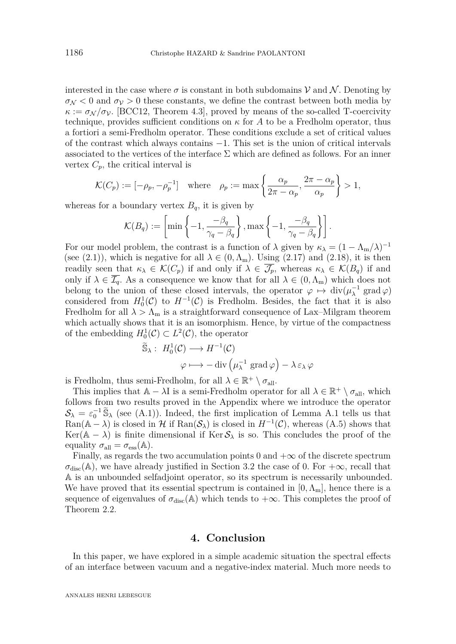<span id="page-25-0"></span>interested in the case where  $\sigma$  is constant in both subdomains  $\mathcal V$  and  $\mathcal N$ . Denoting by  $\sigma_N$  < 0 and  $\sigma_V$  > 0 these constants, we define the contrast between both media by  $\kappa := \sigma_{\mathcal{N}}/\sigma_{\mathcal{V}}$ . [\[BCC12,](#page-30-3) Theorem 4.3], proved by means of the so-called T-coercivity technique, provides sufficient conditions on  $\kappa$  for A to be a Fredholm operator, thus a fortiori a semi-Fredholm operator. These conditions exclude a set of critical values of the contrast which always contains −1. This set is the union of critical intervals associated to the vertices of the interface  $\Sigma$  which are defined as follows. For an inner vertex  $C_p$ , the critical interval is

$$
\mathcal{K}(C_p) := [-\rho_p, -\rho_p^{-1}] \quad \text{where} \quad \rho_p := \max\left\{\frac{\alpha_p}{2\pi - \alpha_p}, \frac{2\pi - \alpha_p}{\alpha_p}\right\} > 1,
$$

whereas for a boundary vertex  $B_q$ , it is given by

$$
\mathcal{K}(B_q) := \left[ \min \left\{ -1, \frac{-\beta_q}{\gamma_q - \beta_q} \right\}, \max \left\{ -1, \frac{-\beta_q}{\gamma_q - \beta_q} \right\} \right].
$$

For our model problem, the contrast is a function of  $\lambda$  given by  $\kappa_{\lambda} = (1 - \Lambda_{\rm m}/\lambda)^{-1}$ (see [\(2.1\)](#page-4-2)), which is negative for all  $\lambda \in (0, \Lambda_{m})$ . Using [\(2.17\)](#page-9-0) and [\(2.18\)](#page-9-1), it is then readily seen that  $\kappa_{\lambda} \in \mathcal{K}(C_p)$  if and only if  $\lambda \in \mathcal{J}_p$ , whereas  $\kappa_{\lambda} \in \mathcal{K}(B_q)$  if and only if  $\lambda \in \overline{\mathcal{I}_q}$ . As a consequence we know that for all  $\lambda \in (0, \Lambda_m)$  which does not belong to the union of these closed intervals, the operator  $\varphi \mapsto \text{div}(\mu_{\lambda}^{-1})$  $\lambda^{-1}$  grad  $\varphi$ ) considered from  $H_0^1(\mathcal{C})$  to  $H^{-1}(\mathcal{C})$  is Fredholm. Besides, the fact that it is also Fredholm for all  $\lambda > \Lambda_{\rm m}$  is a straightforward consequence of Lax–Milgram theorem which actually shows that it is an isomorphism. Hence, by virtue of the compactness of the embedding  $H_0^1(\mathcal{C}) \subset L^2(\mathcal{C})$ , the operator

$$
\widetilde{\mathbb{S}}_{\lambda}: H_0^1(\mathcal{C}) \longrightarrow H^{-1}(\mathcal{C})
$$

$$
\varphi \longmapsto -\text{div}\left(\mu_{\lambda}^{-1} \text{ grad }\varphi\right) - \lambda \,\varepsilon_{\lambda} \,\varphi
$$

is Fredholm, thus semi-Fredholm, for all  $\lambda \in \mathbb{R}^+ \setminus \sigma_{all}$ .

This implies that  $A - \lambda I$  is a semi-Fredholm operator for all  $\lambda \in \mathbb{R}^+ \setminus \sigma_{all}$ , which follows from two results proved in the Appendix where we introduce the operator  $S_{\lambda} = \varepsilon_0^{-1} \widetilde{S}_{\lambda}$  (see [\(A.1\)](#page-27-0)). Indeed, the first implication of Lemma [A.1](#page-28-0) tells us that  $\text{Ran}(\mathbb{A} - \lambda)$  is closed in  $\mathcal{H}$  if  $\text{Ran}(\mathcal{S}_{\lambda})$  is closed in  $H^{-1}(\mathcal{C})$ , whereas [\(A.5\)](#page-27-1) shows that Ker( $A - \lambda$ ) is finite dimensional if Ker $S_{\lambda}$  is so. This concludes the proof of the equality  $\sigma_{\text{all}} = \sigma_{\text{ess}}(\mathbb{A})$ .

Finally, as regards the two accumulation points 0 and  $+\infty$  of the discrete spectrum  $\sigma_{\text{disc}}(\mathbb{A})$ , we have already justified in Section [3.2](#page-12-1) the case of 0. For  $+\infty$ , recall that A is an unbounded selfadjoint operator, so its spectrum is necessarily unbounded. We have proved that its essential spectrum is contained in  $[0, \Lambda_{m}]$ , hence there is a sequence of eigenvalues of  $\sigma_{disc}(\mathbb{A})$  which tends to  $+\infty$ . This completes the proof of Theorem [2.2.](#page-10-0)

## **4. Conclusion**

In this paper, we have explored in a simple academic situation the spectral effects of an interface between vacuum and a negative-index material. Much more needs to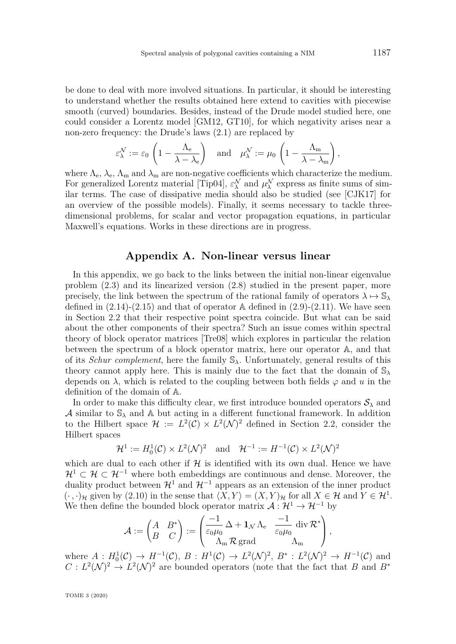<span id="page-26-1"></span>be done to deal with more involved situations. In particular, it should be interesting to understand whether the results obtained here extend to cavities with piecewise smooth (curved) boundaries. Besides, instead of the Drude model studied here, one could consider a Lorentz model [\[GM12,](#page-30-7) [GT10\]](#page-31-11), for which negativity arises near a non-zero frequency: the Drude's laws [\(2.1\)](#page-4-2) are replaced by

$$
\varepsilon_\lambda^\mathcal{N}:=\varepsilon_0\,\left(1-\frac{\Lambda_{\rm e}}{\lambda-\lambda_{\rm e}}\right)\quad\text{and}\quad\mu_\lambda^\mathcal{N}:=\mu_0\,\left(1-\frac{\Lambda_{\rm m}}{\lambda-\lambda_{\rm m}}\right),
$$

where  $\Lambda_e$ ,  $\lambda_e$ ,  $\Lambda_m$  and  $\lambda_m$  are non-negative coefficients which characterize the medium. For generalized Lorentz material [\[Tip04\]](#page-31-12),  $\varepsilon_{\lambda}^{\mathcal{N}}$  and  $\mu_{\lambda}^{\mathcal{N}}$  express as finite sums of similar terms. The case of dissipative media should also be studied (see [\[CJK17\]](#page-30-17) for an overview of the possible models). Finally, it seems necessary to tackle threedimensional problems, for scalar and vector propagation equations, in particular Maxwell's equations. Works in these directions are in progress.

## **Appendix A. Non-linear versus linear**

<span id="page-26-0"></span>In this appendix, we go back to the links between the initial non-linear eigenvalue problem [\(2.3\)](#page-5-4) and its linearized version [\(2.8\)](#page-7-6) studied in the present paper, more precisely, the link between the spectrum of the rational family of operators  $\lambda \mapsto \mathbb{S}_{\lambda}$ defined in  $(2.14)-(2.15)$  $(2.14)-(2.15)$  $(2.14)-(2.15)$  and that of operator A defined in  $(2.9)-(2.11)$  $(2.9)-(2.11)$  $(2.9)-(2.11)$ . We have seen in Section [2.2](#page-6-1) that their respective point spectra coincide. But what can be said about the other components of their spectra? Such an issue comes within spectral theory of block operator matrices [\[Tre08\]](#page-31-6) which explores in particular the relation between the spectrum of a block operator matrix, here our operator A, and that of its *Schur complement*, here the family S*λ.* Unfortunately, general results of this theory cannot apply here. This is mainly due to the fact that the domain of S*<sup>λ</sup>* depends on  $\lambda$ , which is related to the coupling between both fields  $\varphi$  and  $u$  in the definition of the domain of A.

In order to make this difficulty clear, we first introduce bounded operators  $S_\lambda$  and A similar to  $\mathbb{S}_{\lambda}$  and A but acting in a different functional framework. In addition to the Hilbert space  $\mathcal{H} := L^2(\mathcal{C}) \times L^2(\mathcal{N})^2$  defined in Section [2.2,](#page-6-1) consider the Hilbert spaces

$$
\mathcal{H}^1 := H_0^1(\mathcal{C}) \times L^2(\mathcal{N})^2 \quad \text{and} \quad \mathcal{H}^{-1} := H^{-1}(\mathcal{C}) \times L^2(\mathcal{N})^2
$$

which are dual to each other if  $H$  is identified with its own dual. Hence we have  $\mathcal{H}^1 \subset \mathcal{H} \subset \mathcal{H}^{-1}$  where both embeddings are continuous and dense. Moreover, the duality product between  $\mathcal{H}^1$  and  $\mathcal{H}^{-1}$  appears as an extension of the inner product  $(\cdot, \cdot)_{\mathcal{H}}$  given by [\(2.10\)](#page-7-7) in the sense that  $\langle X, Y \rangle = (X, Y)_{\mathcal{H}}$  for all  $X \in \mathcal{H}$  and  $Y \in \mathcal{H}^1$ . We then define the bounded block operator matrix  $\mathcal{A}: \mathcal{H}^1 \to \mathcal{H}^{-1}$  by

$$
\mathcal{A}:=\begin{pmatrix} A & B^* \\ B & C \end{pmatrix}:=\begin{pmatrix} \dfrac{-1}{\varepsilon_0\mu_0}\,\Delta + \mathbf{1}_{\mathcal{N}}\,\Lambda_{\mathrm{e}} & \dfrac{-1}{\varepsilon_0\mu_0}\,\mathrm{div}\,\mathcal{R}^* \\ \Lambda_{\mathrm{m}}\,\mathcal{R}\,\mathrm{grad} & \Lambda_{\mathrm{m}} \end{pmatrix},
$$

where  $A: H_0^1(\mathcal{C}) \to H^{-1}(\mathcal{C}), B: H^1(\mathcal{C}) \to L^2(\mathcal{N})^2, B^*: L^2(\mathcal{N})^2 \to H^{-1}(\mathcal{C})$  and  $C: L^2(\mathcal{N})^2 \to L^2(\mathcal{N})^2$  are bounded operators (note that the fact that *B* and *B*<sup>\*</sup>

TOME 3 (2020)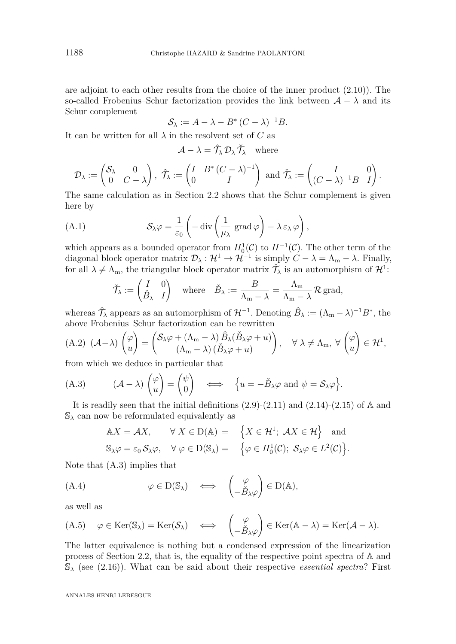are adjoint to each other results from the choice of the inner product [\(2.10\)](#page-7-7)). The so-called Frobenius–Schur factorization provides the link between  $\mathcal{A} - \lambda$  and its Schur complement

$$
\mathcal{S}_{\lambda} := A - \lambda - B^* (C - \lambda)^{-1} B.
$$

It can be written for all  $\lambda$  in the resolvent set of  $C$  as

$$
\mathcal{A} - \lambda = \hat{\mathcal{T}}_{\lambda} \mathcal{D}_{\lambda} \check{\mathcal{T}}_{\lambda} \quad \text{where}
$$

$$
\mathcal{D}_{\lambda} := \begin{pmatrix} \mathcal{S}_{\lambda} & 0 \\ 0 & C - \lambda \end{pmatrix}, \ \hat{\mathcal{T}}_{\lambda} := \begin{pmatrix} I & B^* \left( C - \lambda \right)^{-1} \\ 0 & I \end{pmatrix} \text{ and } \check{\mathcal{T}}_{\lambda} := \begin{pmatrix} I & 0 \\ (C - \lambda)^{-1} B & I \end{pmatrix}.
$$

The same calculation as in Section [2.2](#page-6-1) shows that the Schur complement is given here by

(A.1) 
$$
\mathcal{S}_{\lambda}\varphi = \frac{1}{\varepsilon_0} \left( -\operatorname{div} \left( \frac{1}{\mu_{\lambda}} \operatorname{grad} \varphi \right) - \lambda \varepsilon_{\lambda} \varphi \right),
$$

which appears as a bounded operator from  $H_0^1(\mathcal{C})$  to  $H^{-1}(\mathcal{C})$ . The other term of the diagonal block operator matrix  $\mathcal{D}_{\lambda}: \mathcal{H}^1 \to \mathcal{H}^{-1}$  is simply  $C - \lambda = \Lambda_{\text{m}} - \lambda$ . Finally, for all  $\lambda \neq \Lambda_m$ , the triangular block operator matrix  $\check{\mathcal{T}}_{\lambda}$  is an automorphism of  $\mathcal{H}^1$ :

<span id="page-27-0"></span>
$$
\check{\mathcal{T}}_{\lambda} := \begin{pmatrix} I & 0 \\ \check{B}_{\lambda} & I \end{pmatrix} \text{ where } \check{B}_{\lambda} := \frac{B}{\Lambda_{\mathrm{m}} - \lambda} = \frac{\Lambda_{\mathrm{m}}}{\Lambda_{\mathrm{m}} - \lambda} \mathcal{R} \text{ grad},
$$

whereas  $\hat{\mathcal{T}}_{\lambda}$  appears as an automorphism of  $\mathcal{H}^{-1}$ . Denoting  $\hat{B}_{\lambda} := (\Lambda_{\rm m} - \lambda)^{-1} B^*$ , the above Frobenius–Schur factorization can be rewritten

<span id="page-27-4"></span>(A.2) 
$$
(A - \lambda) \begin{pmatrix} \varphi \\ u \end{pmatrix} = \begin{pmatrix} S_{\lambda} \varphi + (\Lambda_m - \lambda) \hat{B}_{\lambda} (\check{B}_{\lambda} \varphi + u) \\ (\Lambda_m - \lambda) (\check{B}_{\lambda} \varphi + u) \end{pmatrix}, \quad \forall \lambda \neq \Lambda_m, \forall \begin{pmatrix} \varphi \\ u \end{pmatrix} \in \mathcal{H}^1,
$$

from which we deduce in particular that

<span id="page-27-2"></span>(A.3) 
$$
(A - \lambda) \begin{pmatrix} \varphi \\ u \end{pmatrix} = \begin{pmatrix} \psi \\ 0 \end{pmatrix} \iff \{ u = -\check{B}_{\lambda}\varphi \text{ and } \psi = \mathcal{S}_{\lambda}\varphi \}.
$$

It is readily seen that the initial definitions  $(2.9)-(2.11)$  $(2.9)-(2.11)$  $(2.9)-(2.11)$  and  $(2.14)-(2.15)$  $(2.14)-(2.15)$  $(2.14)-(2.15)$  of A and S*<sup>λ</sup>* can now be reformulated equivalently as

$$
\mathbb{A}X = \mathcal{A}X, \qquad \forall X \in \mathcal{D}(\mathbb{A}) = \left\{ X \in \mathcal{H}^1; \ \mathcal{A}X \in \mathcal{H} \right\} \text{ and}
$$
  

$$
\mathbb{S}_{\lambda}\varphi = \varepsilon_0 \mathcal{S}_{\lambda}\varphi, \quad \forall \varphi \in \mathcal{D}(\mathbb{S}_{\lambda}) = \left\{ \varphi \in H_0^1(\mathcal{C}); \ \mathcal{S}_{\lambda}\varphi \in L^2(\mathcal{C}) \right\}.
$$

Note that [\(A.3\)](#page-27-2) implies that

<span id="page-27-3"></span>(A.4) 
$$
\varphi \in D(\mathbb{S}_{\lambda}) \iff \begin{pmatrix} \varphi \\ -\check{B}_{\lambda}\varphi \end{pmatrix} \in D(\mathbb{A}),
$$

as well as

<span id="page-27-1"></span>
$$
(A.5) \quad \varphi \in \text{Ker}(\mathbb{S}_{\lambda}) = \text{Ker}(\mathcal{S}_{\lambda}) \quad \Longleftrightarrow \quad \begin{pmatrix} \varphi \\ -\check{B}_{\lambda}\varphi \end{pmatrix} \in \text{Ker}(\mathbb{A} - \lambda) = \text{Ker}(\mathcal{A} - \lambda).
$$

The latter equivalence is nothing but a condensed expression of the linearization process of Section [2.2,](#page-6-1) that is, the equality of the respective point spectra of A and  $\mathcal{S}_{\lambda}$  (see [\(2.16\)](#page-8-4)). What can be said about their respective *essential spectra*? First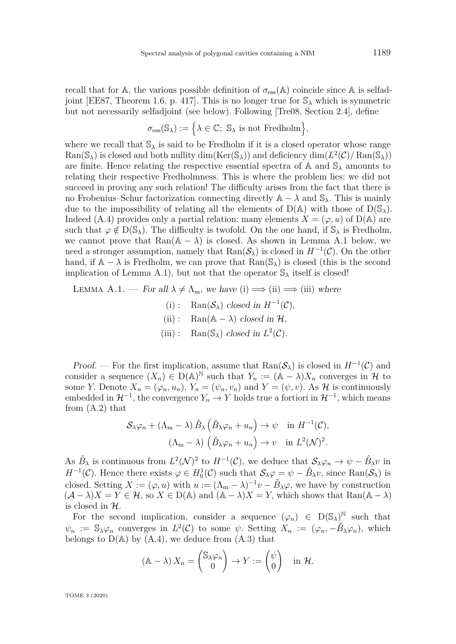<span id="page-28-1"></span>recall that for A, the various possible definition of  $\sigma_{\rm ess}(\mathbb{A})$  coincide since A is selfad-joint [\[EE87,](#page-30-16) Theorem 1.6, p. 417]. This is no longer true for  $\mathbb{S}_{\lambda}$  which is symmetric but not necessarily selfadjoint (see below). Following [\[Tre08,](#page-31-6) Section 2.4], define

$$
\sigma_{\operatorname{ess}}(\mathbb{S}_\lambda):=\Big\{\lambda\in\mathbb{C};\,\,\mathbb{S}_\lambda\,\,\text{is not Fredholm}\Big\},
$$

where we recall that  $\mathbb{S}_{\lambda}$  is said to be Fredholm if it is a closed operator whose range  $\text{Ran}(\mathbb{S}_{\lambda})$  is closed and both nullity dim( $\text{Ker}(\mathbb{S}_{\lambda})$ ) and deficiency  $\dim(L^2(\mathcal{C})/\text{Ran}(\mathbb{S}_{\lambda}))$ are finite. Hence relating the respective essential spectra of  $A$  and  $S_\lambda$  amounts to relating their respective Fredholmness. This is where the problem lies: we did not succeed in proving any such relation! The difficulty arises from the fact that there is no Frobenius–Schur factorization connecting directly  $\mathbb{A} - \lambda$  and  $\mathbb{S}_{\lambda}$ . This is mainly due to the impossibility of relating all the elements of  $D(A)$  with those of  $D(\mathbb{S}_{\lambda})$ . Indeed [\(A.4\)](#page-27-3) provides only a partial relation: many elements  $X = (\varphi, u)$  of D(A) are such that  $\varphi \notin D(\mathbb{S}_{\lambda})$ . The difficulty is twofold. On the one hand, if  $\mathbb{S}_{\lambda}$  is Fredholm, we cannot prove that  $\text{Ran}(\mathbb{A} - \lambda)$  is closed. As shown in Lemma [A.1](#page-28-0) below, we need a stronger assumption, namely that  $\text{Ran}(\mathcal{S}_\lambda)$  is closed in  $H^{-1}(\mathcal{C})$ . On the other hand, if  $A - \lambda$  is Fredholm, we can prove that  $\text{Ran}(\mathbb{S}_{\lambda})$  is closed (this is the second implication of Lemma [A.1\)](#page-28-0), but not that the operator  $\mathbb{S}_{\lambda}$  itself is closed!

<span id="page-28-0"></span>LEMMA A.1. — For all  $\lambda \neq \Lambda_m$ , we have (i)  $\implies$  (ii)  $\implies$  (iii) where

(i) : Ran( $S_{\lambda}$ ) closed in  $H^{-1}(\mathcal{C})$ , (ii) : Ran( $\mathbb{A} - \lambda$ ) closed in H, (iii) : Ran( $\mathbb{S}_{\lambda}$ ) closed in  $L^2(\mathcal{C})$ .

Proof. — For the first implication, assume that  $\text{Ran}(\mathcal{S}_\lambda)$  is closed in  $H^{-1}(\mathcal{C})$  and consider a sequence  $(X_n) \in D(A)^N$  such that  $Y_n := (A - \lambda)X_n$  converges in H to some *Y*. Denote  $X_n = (\varphi_n, u_n)$ ,  $Y_n = (\psi_n, v_n)$  and  $Y = (\psi, v)$ . As H is continuously embedded in  $\mathcal{H}^{-1}$ , the convergence  $Y_n \to Y$  holds true a fortiori in  $\mathcal{H}^{-1}$ , which means from [\(A.2\)](#page-27-4) that

$$
\mathcal{S}_{\lambda}\varphi_n + (\Lambda_m - \lambda) \hat{B}_{\lambda} \left( \check{B}_{\lambda}\varphi_n + u_n \right) \to \psi \quad \text{in } H^{-1}(\mathcal{C}),
$$

$$
(\Lambda_m - \lambda) \left( \check{B}_{\lambda}\varphi_n + u_n \right) \to v \quad \text{in } L^2(\mathcal{N})^2.
$$

As  $\hat{B}_{\lambda}$  is continuous from  $L^2(\mathcal{N})^2$  to  $H^{-1}(\mathcal{C})$ , we deduce that  $\mathcal{S}_{\lambda}\varphi_n \to \psi - \hat{B}_{\lambda}v$  in *H*<sup>−1</sup>(*C*). Hence there exists  $\varphi \in H_0^1(\mathcal{C})$  such that  $\mathcal{S}_{\lambda}\varphi = \psi - \hat{B}_{\lambda}v$ , since Ran( $\mathcal{S}_{\lambda}$ ) is closed. Setting  $X := (\varphi, u)$  with  $u := (\Lambda_m - \lambda)^{-1}v - \check{B}_\lambda\varphi$ , we have by construction  $(A - \lambda)X = Y \in \mathcal{H}$ , so  $X \in D(\mathbb{A})$  and  $(A - \lambda)X = Y$ , which shows that Ran $(A - \lambda)$ is closed in H*.*

For the second implication, consider a sequence  $(\varphi_n) \in D(\mathbb{S}_{\lambda})^{\mathbb{N}}$  such that  $\psi_n$  :=  $\mathbb{S}_{\lambda} \varphi_n$  converges in  $L^2(\mathcal{C})$  to some  $\psi$ . Setting  $X_n$  :=  $(\varphi_n, -\check{B}_{\lambda} \varphi_n)$ , which belongs to  $D(A)$  by  $(A.4)$ , we deduce from  $(A.3)$  that

$$
(\mathbb{A} - \lambda) X_n = \begin{pmatrix} \mathbb{S}_{\lambda} \varphi_n \\ 0 \end{pmatrix} \to Y := \begin{pmatrix} \psi \\ 0 \end{pmatrix} \text{ in } \mathcal{H}.
$$

TOME 3 (2020)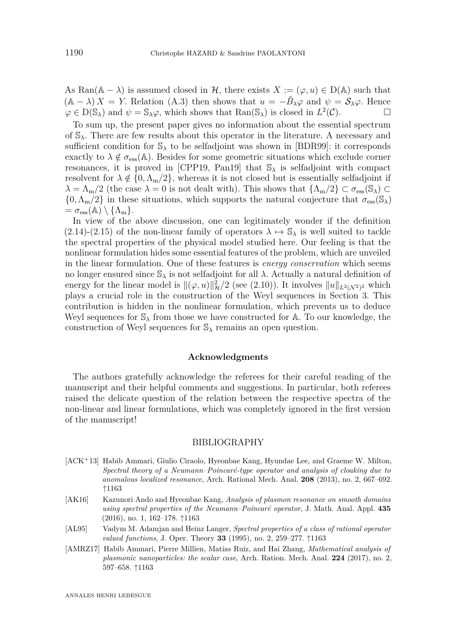<span id="page-29-4"></span>As Ran( $\mathbb{A} - \lambda$ ) is assumed closed in H, there exists  $X := (\varphi, u) \in D(\mathbb{A})$  such that  $(A - \lambda)X = Y$ . Relation [\(A.3\)](#page-27-2) then shows that  $u = -\check{B}_{\lambda}\varphi$  and  $\psi = \mathcal{S}_{\lambda}\varphi$ . Hence  $\varphi \in D(\mathbb{S}_{\lambda})$  and  $\psi = \mathbb{S}_{\lambda}\varphi$ , which shows that  $\text{Ran}(\mathbb{S}_{\lambda})$  is closed in  $L^2(\mathcal{C})$ .

To sum up, the present paper gives no information about the essential spectrum of S*λ*. There are few results about this operator in the literature. A necessary and sufficient condition for  $\mathbb{S}_{\lambda}$  to be selfadjoint was shown in [\[BDR99\]](#page-30-2): it corresponds exactly to  $\lambda \notin \sigma_{\rm ess}(\mathbb{A})$ . Besides for some geometric situations which exclude corner resonances, it is proved in [\[CPP19,](#page-30-1) [Pan19\]](#page-31-13) that  $\mathcal{S}_{\lambda}$  is selfadjoint with compact resolvent for  $\lambda \notin \{0, \Lambda_{m}/2\}$ , whereas it is not closed but is essentially selfadjoint if  $\lambda = \Lambda_{\rm m}/2$  (the case  $\lambda = 0$  is not dealt with). This shows that  $\{\Lambda_{\rm m}/2\} \subset \sigma_{\rm ess}(\mathbb{S}_{\lambda}) \subset$  $\{0, \Lambda_{m}/2\}$  in these situations, which supports the natural conjecture that  $\sigma_{\text{ess}}(\mathbb{S}_{\lambda})$  $= \sigma_{\rm ess}(\mathbb{A}) \setminus \{\Lambda_{\rm m}\}.$ 

In view of the above discussion, one can legitimately wonder if the definition [\(2.14\)](#page-8-2)-[\(2.15\)](#page-8-3) of the non-linear family of operators  $\lambda \mapsto \mathbb{S}_{\lambda}$  is well suited to tackle the spectral properties of the physical model studied here. Our feeling is that the nonlinear formulation hides some essential features of the problem, which are unveiled in the linear formulation. One of these features is *energy conservation* which seems no longer ensured since  $\mathbb{S}_{\lambda}$  is not selfadjoint for all  $\lambda$ . Actually a natural definition of energy for the linear model is  $\|(\varphi, u)\|_{\mathcal{H}}^2/2$  (see [\(2.10\)](#page-7-7)). It involves  $\|u\|_{L^2(\mathcal{N}^2)^2}$  which plays a crucial role in the construction of the Weyl sequences in Section [3.](#page-11-0) This contribution is hidden in the nonlinear formulation, which prevents us to deduce Weyl sequences for S*<sup>λ</sup>* from those we have constructed for A*.* To our knowledge, the construction of Weyl sequences for S*<sup>λ</sup>* remains an open question.

## **Acknowledgments**

The authors gratefully acknowledge the referees for their careful reading of the manuscript and their helpful comments and suggestions. In particular, both referees raised the delicate question of the relation between the respective spectra of the non-linear and linear formulations, which was completely ignored in the first version of the manuscript!

#### BIBLIOGRAPHY

- <span id="page-29-0"></span>[ACK<sup>+</sup>13] Habib Ammari, Giulio Ciraolo, Hyeonbae Kang, Hyundae Lee, and Graeme W. Milton, *Spectral theory of a Neumann–Poincaré-type operator and analysis of cloaking due to anomalous localized resonance*, Arch. Rational Mech. Anal. **208** (2013), no. 2, 667–692. ↑[1163](#page-2-0)
- <span id="page-29-1"></span>[AK16] Kazunori Ando and Hyeonbae Kang, *Analysis of plasmon resonance on smooth domains using spectral properties of the Neumann–Poincaré operator*, J. Math. Anal. Appl. **435** (2016), no. 1, 162–178. ↑[1163](#page-2-0)
- <span id="page-29-3"></span>[AL95] Vadym M. Adamjan and Heinz Langer, *Spectral properties of a class of rational operator valued functions*, J. Oper. Theory **33** (1995), no. 2, 259–277. ↑[1163](#page-2-0)
- <span id="page-29-2"></span>[AMRZ17] Habib Ammari, Pierre Millien, Matias Ruiz, and Hai Zhang, *Mathematical analysis of plasmonic nanoparticles: the scalar case*, Arch. Ration. Mech. Anal. **224** (2017), no. 2, 597–658. ↑[1163](#page-2-0)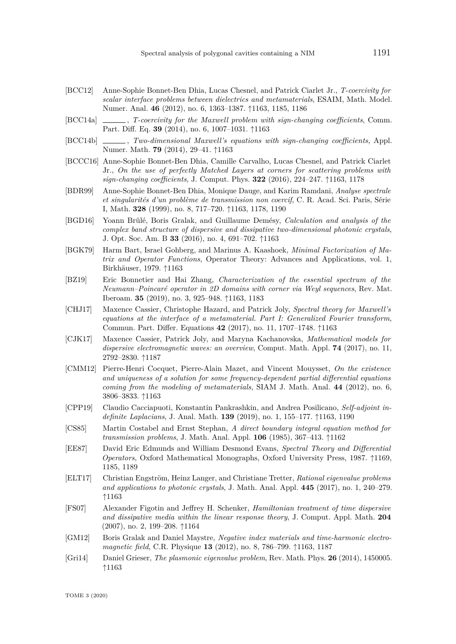- <span id="page-30-3"></span>[BCC12] Anne-Sophie Bonnet-Ben Dhia, Lucas Chesnel, and Patrick Ciarlet Jr., *T-coercivity for scalar interface problems between dielectrics and metamaterials*, ESAIM, Math. Model. Numer. Anal. **46** (2012), no. 6, 1363–1387. ↑[1163,](#page-2-0) [1185,](#page-24-2) [1186](#page-25-0)
- <span id="page-30-4"></span>[BCC14a] , *T-coercivity for the Maxwell problem with sign-changing coefficients*, Comm. Part. Diff. Eq. **39** (2014), no. 6, 1007–1031. ↑[1163](#page-2-0)
- <span id="page-30-5"></span>[BCC14b] , *Two-dimensional Maxwell's equations with sign-changing coefficients*, Appl. Numer. Math. **79** (2014), 29–41. ↑[1163](#page-2-0)
- <span id="page-30-9"></span>[BCCC16] Anne-Sophie Bonnet-Ben Dhia, Camille Carvalho, Lucas Chesnel, and Patrick Ciarlet Jr., *On the use of perfectly Matched Layers at corners for scattering problems with sign-changing coefficients*, J. Comput. Phys. **322** (2016), 224–247. ↑[1163,](#page-2-0) [1178](#page-17-5)
- <span id="page-30-2"></span>[BDR99] Anne-Sophie Bonnet-Ben Dhia, Monique Dauge, and Karim Ramdani, *Analyse spectrale et singularités d'un problème de transmission non coercif*, C. R. Acad. Sci. Paris, Série I, Math. **328** (1999), no. 8, 717–720. ↑[1163,](#page-2-0) [1178,](#page-17-5) [1190](#page-29-4)
- <span id="page-30-14"></span>[BGD16] Yoann Brûlé, Boris Gralak, and Guillaume Demésy, *Calculation and analysis of the complex band structure of dispersive and dissipative two-dimensional photonic crystals*, J. Opt. Soc. Am. B **33** (2016), no. 4, 691–702. ↑[1163](#page-2-0)
- <span id="page-30-11"></span>[BGK79] Harm Bart, Israel Gohberg, and Marinus A. Kaashoek, *Minimal Factorization of Matrix and Operator Functions*, Operator Theory: Advances and Applications, vol. 1, Birkhäuser, 1979. ↑[1163](#page-2-0)
- <span id="page-30-6"></span>[BZ19] Eric Bonnetier and Hai Zhang, *Characterization of the essential spectrum of the Neumann–Poincaré operator in 2D domains with corner via Weyl sequences*, Rev. Mat. Iberoam. **35** (2019), no. 3, 925–948. ↑[1163,](#page-2-0) [1183](#page-22-0)
- <span id="page-30-13"></span>[CHJ17] Maxence Cassier, Christophe Hazard, and Patrick Joly, *Spectral theory for Maxwell's equations at the interface of a metamaterial. Part I: Generalized Fourier transform*, Commun. Part. Differ. Equations **42** (2017), no. 11, 1707–1748. ↑[1163](#page-2-0)
- <span id="page-30-17"></span>[CJK17] Maxence Cassier, Patrick Joly, and Maryna Kachanovska, *Mathematical models for dispersive electromagnetic waves: an overview*, Comput. Math. Appl. **74** (2017), no. 11, 2792–2830. ↑[1187](#page-26-1)
- <span id="page-30-10"></span>[CMM12] Pierre-Henri Cocquet, Pierre-Alain Mazet, and Vincent Mouysset, *On the existence and uniqueness of a solution for some frequency-dependent partial differential equations coming from the modeling of metamaterials*, SIAM J. Math. Anal. **44** (2012), no. 6, 3806–3833. ↑[1163](#page-2-0)
- <span id="page-30-1"></span>[CPP19] Claudio Cacciapuoti, Konstantin Pankrashkin, and Andrea Posilicano, *Self-adjoint indefinite Laplacians*, J. Anal. Math. **139** (2019), no. 1, 155–177. ↑[1163,](#page-2-0) [1190](#page-29-4)
- <span id="page-30-0"></span>[CS85] Martin Costabel and Ernst Stephan, *A direct boundary integral equation method for transmission problems*, J. Math. Anal. Appl. **106** (1985), 367–413. ↑[1162](#page-1-0)
- <span id="page-30-16"></span>[EE87] David Eric Edmunds and William Desmond Evans, *Spectral Theory and Differential Operators*, Oxford Mathematical Monographs, Oxford University Press, 1987. ↑[1169,](#page-8-5) [1185,](#page-24-2) [1189](#page-28-1)
- <span id="page-30-12"></span>[ELT17] Christian Engström, Heinz Langer, and Christiane Tretter, *Rational eigenvalue problems and applications to photonic crystals*, J. Math. Anal. Appl. **445** (2017), no. 1, 240–279. ↑[1163](#page-2-0)
- <span id="page-30-15"></span>[FS07] Alexander Figotin and Jeffrey H. Schenker, *Hamiltonian treatment of time dispersive and dissipative media within the linear response theory*, J. Comput. Appl. Math. **204** (2007), no. 2, 199–208. ↑[1164](#page-3-0)
- <span id="page-30-7"></span>[GM12] Boris Gralak and Daniel Maystre, *Negative index materials and time-harmonic electromagnetic field*, C.R. Physique **13** (2012), no. 8, 786–799. ↑[1163,](#page-2-0) [1187](#page-26-1)
- <span id="page-30-8"></span>[Gri14] Daniel Grieser, *The plasmonic eigenvalue problem*, Rev. Math. Phys. **26** (2014), 1450005. ↑[1163](#page-2-0)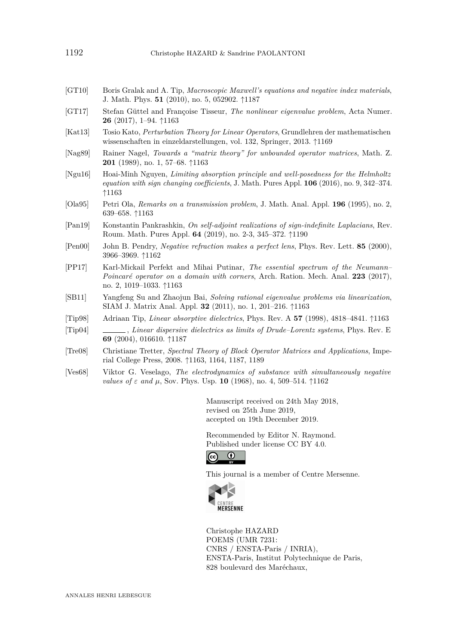- <span id="page-31-11"></span>[GT10] Boris Gralak and A. Tip, *Macroscopic Maxwell's equations and negative index materials*, J. Math. Phys. **51** (2010), no. 5, 052902. ↑[1187](#page-26-1)
- <span id="page-31-7"></span>[GT17] Stefan Güttel and Françoise Tisseur, *The nonlinear eigenvalue problem*, Acta Numer. **26** (2017), 1–94. ↑[1163](#page-2-0)
- <span id="page-31-10"></span>[Kat13] Tosio Kato, *Perturbation Theory for Linear Operators*, Grundlehren der mathematischen wissenschaften in einzeldarstellungen, vol. 132, Springer, 2013. ↑[1169](#page-8-5)
- <span id="page-31-5"></span>[Nag89] Rainer Nagel, *Towards a "matrix theory" for unbounded operator matrices*, Math. Z. **201** (1989), no. 1, 57–68. ↑[1163](#page-2-0)
- <span id="page-31-3"></span>[Ngu16] Hoai-Minh Nguyen, *Limiting absorption principle and well-posedness for the Helmholtz equation with sign changing coefficients*, J. Math. Pures Appl. **106** (2016), no. 9, 342–374. ↑[1163](#page-2-0)
- <span id="page-31-2"></span>[Ola95] Petri Ola, *Remarks on a transmission problem*, J. Math. Anal. Appl. **196** (1995), no. 2, 639–658. ↑[1163](#page-2-0)
- <span id="page-31-13"></span>[Pan19] Konstantin Pankrashkin, *On self-adjoint realizations of sign-indefinite Laplacians*, Rev. Roum. Math. Pures Appl. **64** (2019), no. 2-3, 345–372. ↑[1190](#page-29-4)
- <span id="page-31-1"></span>[Pen00] John B. Pendry, *Negative refraction makes a perfect lens*, Phys. Rev. Lett. **85** (2000), 3966–3969. ↑[1162](#page-1-0)
- <span id="page-31-4"></span>[PP17] Karl-Mickail Perfekt and Mihai Putinar, *The essential spectrum of the Neumann– Poincaré operator on a domain with corners*, Arch. Ration. Mech. Anal. **223** (2017), no. 2, 1019–1033. ↑[1163](#page-2-0)
- <span id="page-31-8"></span>[SB11] Yangfeng Su and Zhaojun Bai, *Solving rational eigenvalue problems via linearization*, SIAM J. Matrix Anal. Appl. **32** (2011), no. 1, 201–216. ↑[1163](#page-2-0)
- <span id="page-31-9"></span>[Tip98] Adriaan Tip, *Linear absorptive dielectrics*, Phys. Rev. A **57** (1998), 4818–4841. ↑[1163](#page-2-0)
- <span id="page-31-12"></span>[Tip04] , *Linear dispersive dielectrics as limits of Drude–Lorentz systems*, Phys. Rev. E **69** (2004), 016610. ↑[1187](#page-26-1)
- <span id="page-31-6"></span>[Tre08] Christiane Tretter, *Spectral Theory of Block Operator Matrices and Applications*, Imperial College Press, 2008. ↑[1163,](#page-2-0) [1164,](#page-3-0) [1187,](#page-26-1) [1189](#page-28-1)
- <span id="page-31-0"></span>[Ves68] Viktor G. Veselago, *The electrodynamics of substance with simultaneously negative values of*  $\varepsilon$  *and*  $\mu$ , Sov. Phys. Usp. **10** (1968), no. 4, 509–514. ↑[1162](#page-1-0)

Manuscript received on 24th May 2018, revised on 25th June 2019, accepted on 19th December 2019.

Recommended by Editor N. Raymond. Published under license [CC BY 4.0.](https://creativecommons.org/licenses/by/4.0/)



This journal is a member of [Centre Mersenne.](http://www.centre-mersenne.org/)



Christophe HAZARD POEMS (UMR 7231: CNRS / ENSTA-Paris / INRIA), ENSTA-Paris, Institut Polytechnique de Paris, 828 boulevard des Maréchaux,